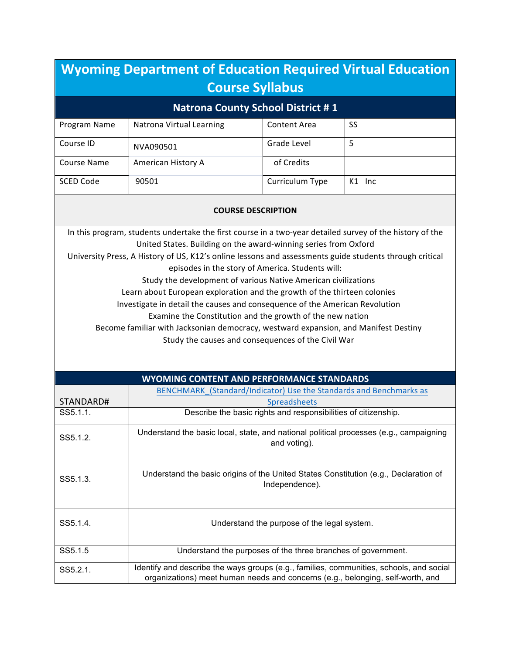| <b>Wyoming Department of Education Required Virtual Education</b><br><b>Course Syllabus</b>                                                                                                                                                                                                                                                                                                                                                                                                                                                                                                                                                                           |                                                                                                                                                                           |                     |        |
|-----------------------------------------------------------------------------------------------------------------------------------------------------------------------------------------------------------------------------------------------------------------------------------------------------------------------------------------------------------------------------------------------------------------------------------------------------------------------------------------------------------------------------------------------------------------------------------------------------------------------------------------------------------------------|---------------------------------------------------------------------------------------------------------------------------------------------------------------------------|---------------------|--------|
|                                                                                                                                                                                                                                                                                                                                                                                                                                                                                                                                                                                                                                                                       | <b>Natrona County School District #1</b>                                                                                                                                  |                     |        |
| Program Name                                                                                                                                                                                                                                                                                                                                                                                                                                                                                                                                                                                                                                                          | Natrona Virtual Learning                                                                                                                                                  | <b>Content Area</b> | SS     |
| Course ID                                                                                                                                                                                                                                                                                                                                                                                                                                                                                                                                                                                                                                                             | NVA090501                                                                                                                                                                 | Grade Level         | 5      |
| <b>Course Name</b>                                                                                                                                                                                                                                                                                                                                                                                                                                                                                                                                                                                                                                                    | American History A                                                                                                                                                        | of Credits          |        |
| <b>SCED Code</b>                                                                                                                                                                                                                                                                                                                                                                                                                                                                                                                                                                                                                                                      | 90501                                                                                                                                                                     | Curriculum Type     | K1 Inc |
|                                                                                                                                                                                                                                                                                                                                                                                                                                                                                                                                                                                                                                                                       | <b>COURSE DESCRIPTION</b>                                                                                                                                                 |                     |        |
| United States. Building on the award-winning series from Oxford<br>University Press, A History of US, K12's online lessons and assessments guide students through critical<br>episodes in the story of America. Students will:<br>Study the development of various Native American civilizations<br>Learn about European exploration and the growth of the thirteen colonies<br>Investigate in detail the causes and consequence of the American Revolution<br>Examine the Constitution and the growth of the new nation<br>Become familiar with Jacksonian democracy, westward expansion, and Manifest Destiny<br>Study the causes and consequences of the Civil War |                                                                                                                                                                           |                     |        |
|                                                                                                                                                                                                                                                                                                                                                                                                                                                                                                                                                                                                                                                                       | <b>WYOMING CONTENT AND PERFORMANCE STANDARDS</b>                                                                                                                          |                     |        |
| STANDARD#                                                                                                                                                                                                                                                                                                                                                                                                                                                                                                                                                                                                                                                             | BENCHMARK (Standard/Indicator) Use the Standards and Benchmarks as                                                                                                        | <b>Spreadsheets</b> |        |
| SS5.1.1.                                                                                                                                                                                                                                                                                                                                                                                                                                                                                                                                                                                                                                                              | Describe the basic rights and responsibilities of citizenship.                                                                                                            |                     |        |
| SS5.1.2.                                                                                                                                                                                                                                                                                                                                                                                                                                                                                                                                                                                                                                                              | Understand the basic local, state, and national political processes (e.g., campaigning<br>and voting).                                                                    |                     |        |
| SS5.1.3.                                                                                                                                                                                                                                                                                                                                                                                                                                                                                                                                                                                                                                                              | Understand the basic origins of the United States Constitution (e.g., Declaration of<br>Independence).                                                                    |                     |        |
| SS5.1.4.                                                                                                                                                                                                                                                                                                                                                                                                                                                                                                                                                                                                                                                              | Understand the purpose of the legal system.                                                                                                                               |                     |        |
| SS5.1.5                                                                                                                                                                                                                                                                                                                                                                                                                                                                                                                                                                                                                                                               | Understand the purposes of the three branches of government.                                                                                                              |                     |        |
| SS5.2.1.                                                                                                                                                                                                                                                                                                                                                                                                                                                                                                                                                                                                                                                              | Identify and describe the ways groups (e.g., families, communities, schools, and social<br>organizations) meet human needs and concerns (e.g., belonging, self-worth, and |                     |        |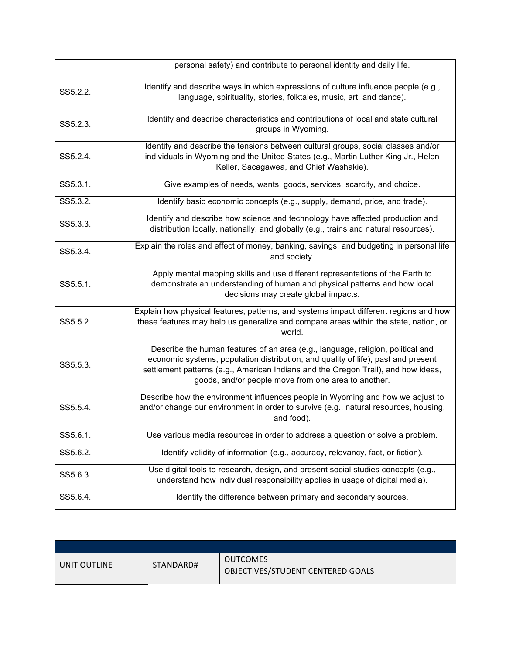|          | personal safety) and contribute to personal identity and daily life.                                                                                                                                                                                                                                             |
|----------|------------------------------------------------------------------------------------------------------------------------------------------------------------------------------------------------------------------------------------------------------------------------------------------------------------------|
| SS5.2.2. | Identify and describe ways in which expressions of culture influence people (e.g.,<br>language, spirituality, stories, folktales, music, art, and dance).                                                                                                                                                        |
| SS5.2.3. | Identify and describe characteristics and contributions of local and state cultural<br>groups in Wyoming.                                                                                                                                                                                                        |
| SS5.2.4. | Identify and describe the tensions between cultural groups, social classes and/or<br>individuals in Wyoming and the United States (e.g., Martin Luther King Jr., Helen<br>Keller, Sacagawea, and Chief Washakie).                                                                                                |
| SS5.3.1. | Give examples of needs, wants, goods, services, scarcity, and choice.                                                                                                                                                                                                                                            |
| SS5.3.2. | Identify basic economic concepts (e.g., supply, demand, price, and trade).                                                                                                                                                                                                                                       |
| SS5.3.3. | Identify and describe how science and technology have affected production and<br>distribution locally, nationally, and globally (e.g., trains and natural resources).                                                                                                                                            |
| SS5.3.4. | Explain the roles and effect of money, banking, savings, and budgeting in personal life<br>and society.                                                                                                                                                                                                          |
| SS5.5.1. | Apply mental mapping skills and use different representations of the Earth to<br>demonstrate an understanding of human and physical patterns and how local<br>decisions may create global impacts.                                                                                                               |
| SS5.5.2. | Explain how physical features, patterns, and systems impact different regions and how<br>these features may help us generalize and compare areas within the state, nation, or<br>world.                                                                                                                          |
| SS5.5.3. | Describe the human features of an area (e.g., language, religion, political and<br>economic systems, population distribution, and quality of life), past and present<br>settlement patterns (e.g., American Indians and the Oregon Trail), and how ideas,<br>goods, and/or people move from one area to another. |
| SS5.5.4. | Describe how the environment influences people in Wyoming and how we adjust to<br>and/or change our environment in order to survive (e.g., natural resources, housing,<br>and food).                                                                                                                             |
| SS5.6.1. | Use various media resources in order to address a question or solve a problem.                                                                                                                                                                                                                                   |
| SS5.6.2. | Identify validity of information (e.g., accuracy, relevancy, fact, or fiction).                                                                                                                                                                                                                                  |
| SS5.6.3. | Use digital tools to research, design, and present social studies concepts (e.g.,<br>understand how individual responsibility applies in usage of digital media).                                                                                                                                                |
| SS5.6.4. | Identify the difference between primary and secondary sources.                                                                                                                                                                                                                                                   |

| UNIT OUTLINE | STANDARD# | <b>OUTCOMES</b>                   |
|--------------|-----------|-----------------------------------|
|              |           | OBJECTIVES/STUDENT CENTERED GOALS |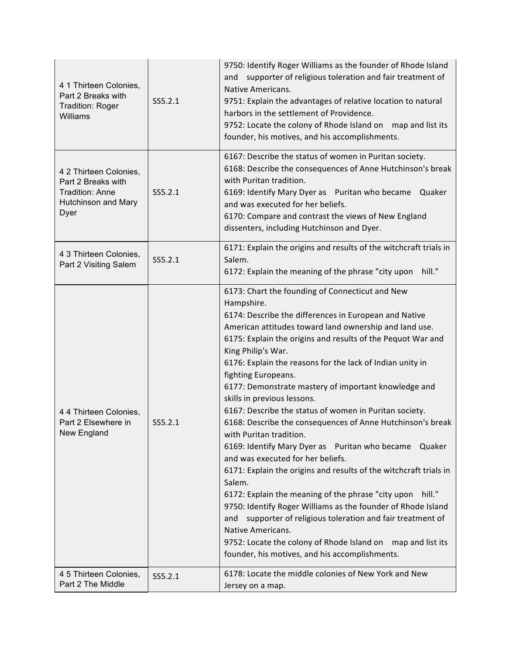| 4 1 Thirteen Colonies,<br>Part 2 Breaks with<br><b>Tradition: Roger</b><br>Williams                   | SS5.2.1 | 9750: Identify Roger Williams as the founder of Rhode Island<br>and supporter of religious toleration and fair treatment of<br>Native Americans.<br>9751: Explain the advantages of relative location to natural<br>harbors in the settlement of Providence.<br>9752: Locate the colony of Rhode Island on<br>map and list its<br>founder, his motives, and his accomplishments.                                                                                                                                                                                                                                                                                                                                                                                                                                                                                                                                                                                                                                                                                                                                            |
|-------------------------------------------------------------------------------------------------------|---------|-----------------------------------------------------------------------------------------------------------------------------------------------------------------------------------------------------------------------------------------------------------------------------------------------------------------------------------------------------------------------------------------------------------------------------------------------------------------------------------------------------------------------------------------------------------------------------------------------------------------------------------------------------------------------------------------------------------------------------------------------------------------------------------------------------------------------------------------------------------------------------------------------------------------------------------------------------------------------------------------------------------------------------------------------------------------------------------------------------------------------------|
| 4 2 Thirteen Colonies,<br>Part 2 Breaks with<br><b>Tradition: Anne</b><br>Hutchinson and Mary<br>Dyer | SS5.2.1 | 6167: Describe the status of women in Puritan society.<br>6168: Describe the consequences of Anne Hutchinson's break<br>with Puritan tradition.<br>6169: Identify Mary Dyer as Puritan who became<br>Quaker<br>and was executed for her beliefs.<br>6170: Compare and contrast the views of New England<br>dissenters, including Hutchinson and Dyer.                                                                                                                                                                                                                                                                                                                                                                                                                                                                                                                                                                                                                                                                                                                                                                       |
| 4 3 Thirteen Colonies,<br>Part 2 Visiting Salem                                                       | SS5.2.1 | 6171: Explain the origins and results of the witchcraft trials in<br>Salem.<br>hill."<br>6172: Explain the meaning of the phrase "city upon                                                                                                                                                                                                                                                                                                                                                                                                                                                                                                                                                                                                                                                                                                                                                                                                                                                                                                                                                                                 |
| 4 4 Thirteen Colonies,<br>Part 2 Elsewhere in<br>New England                                          | SS5.2.1 | 6173: Chart the founding of Connecticut and New<br>Hampshire.<br>6174: Describe the differences in European and Native<br>American attitudes toward land ownership and land use.<br>6175: Explain the origins and results of the Pequot War and<br>King Philip's War.<br>6176: Explain the reasons for the lack of Indian unity in<br>fighting Europeans.<br>6177: Demonstrate mastery of important knowledge and<br>skills in previous lessons.<br>6167: Describe the status of women in Puritan society.<br>6168: Describe the consequences of Anne Hutchinson's break<br>with Puritan tradition.<br>6169: Identify Mary Dyer as Puritan who became<br>Quaker<br>and was executed for her beliefs.<br>6171: Explain the origins and results of the witchcraft trials in<br>Salem.<br>6172: Explain the meaning of the phrase "city upon<br>hill."<br>9750: Identify Roger Williams as the founder of Rhode Island<br>supporter of religious toleration and fair treatment of<br>and<br>Native Americans.<br>9752: Locate the colony of Rhode Island on map and list its<br>founder, his motives, and his accomplishments. |
| 4 5 Thirteen Colonies,<br>Part 2 The Middle                                                           | SS5.2.1 | 6178: Locate the middle colonies of New York and New<br>Jersey on a map.                                                                                                                                                                                                                                                                                                                                                                                                                                                                                                                                                                                                                                                                                                                                                                                                                                                                                                                                                                                                                                                    |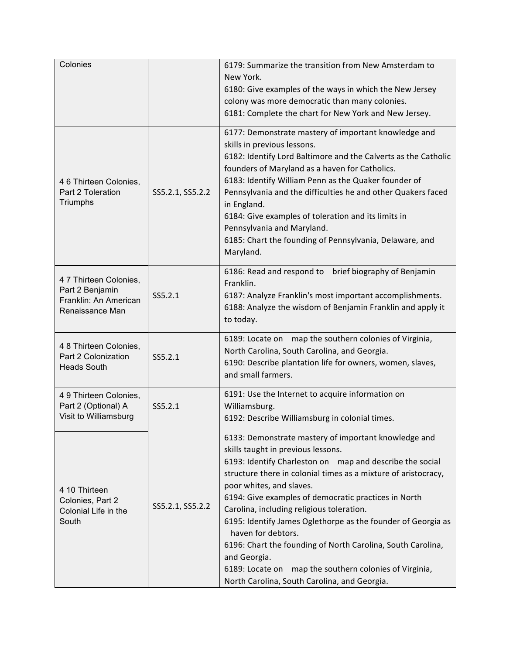| Colonies                                                                              |                  | 6179: Summarize the transition from New Amsterdam to<br>New York.<br>6180: Give examples of the ways in which the New Jersey<br>colony was more democratic than many colonies.<br>6181: Complete the chart for New York and New Jersey.                                                                                                                                                                                                                                                                                                                                                                                                  |
|---------------------------------------------------------------------------------------|------------------|------------------------------------------------------------------------------------------------------------------------------------------------------------------------------------------------------------------------------------------------------------------------------------------------------------------------------------------------------------------------------------------------------------------------------------------------------------------------------------------------------------------------------------------------------------------------------------------------------------------------------------------|
| 4 6 Thirteen Colonies,<br>Part 2 Toleration<br>Triumphs                               | SS5.2.1, SS5.2.2 | 6177: Demonstrate mastery of important knowledge and<br>skills in previous lessons.<br>6182: Identify Lord Baltimore and the Calverts as the Catholic<br>founders of Maryland as a haven for Catholics.<br>6183: Identify William Penn as the Quaker founder of<br>Pennsylvania and the difficulties he and other Quakers faced<br>in England.<br>6184: Give examples of toleration and its limits in<br>Pennsylvania and Maryland.<br>6185: Chart the founding of Pennsylvania, Delaware, and<br>Maryland.                                                                                                                              |
| 4 7 Thirteen Colonies,<br>Part 2 Benjamin<br>Franklin: An American<br>Renaissance Man | SS5.2.1          | 6186: Read and respond to<br>brief biography of Benjamin<br>Franklin.<br>6187: Analyze Franklin's most important accomplishments.<br>6188: Analyze the wisdom of Benjamin Franklin and apply it<br>to today.                                                                                                                                                                                                                                                                                                                                                                                                                             |
| 4 8 Thirteen Colonies,<br>Part 2 Colonization<br><b>Heads South</b>                   | SS5.2.1          | 6189: Locate on map the southern colonies of Virginia,<br>North Carolina, South Carolina, and Georgia.<br>6190: Describe plantation life for owners, women, slaves,<br>and small farmers.                                                                                                                                                                                                                                                                                                                                                                                                                                                |
| 4 9 Thirteen Colonies,<br>Part 2 (Optional) A<br>Visit to Williamsburg                | SS5.2.1          | 6191: Use the Internet to acquire information on<br>Williamsburg.<br>6192: Describe Williamsburg in colonial times.                                                                                                                                                                                                                                                                                                                                                                                                                                                                                                                      |
| 4 10 Thirteen<br>Colonies, Part 2<br>Colonial Life in the<br>South                    | SS5.2.1, SS5.2.2 | 6133: Demonstrate mastery of important knowledge and<br>skills taught in previous lessons.<br>6193: Identify Charleston on map and describe the social<br>structure there in colonial times as a mixture of aristocracy,<br>poor whites, and slaves.<br>6194: Give examples of democratic practices in North<br>Carolina, including religious toleration.<br>6195: Identify James Oglethorpe as the founder of Georgia as<br>haven for debtors.<br>6196: Chart the founding of North Carolina, South Carolina,<br>and Georgia.<br>6189: Locate on map the southern colonies of Virginia,<br>North Carolina, South Carolina, and Georgia. |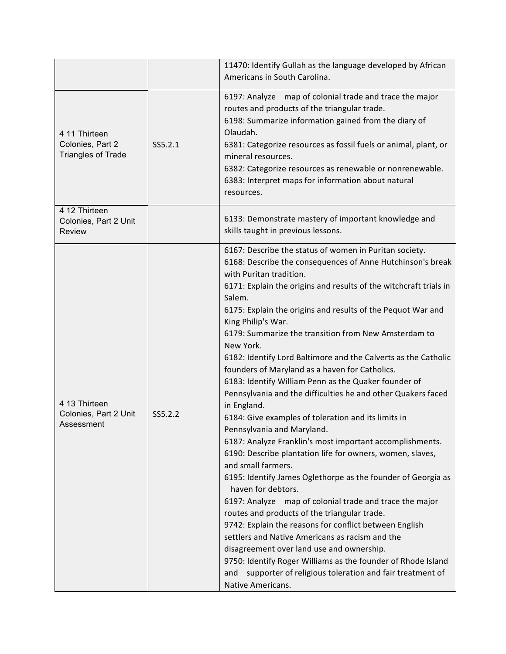|                                                                |         | 11470: Identify Gullah as the language developed by African<br>Americans in South Carolina.                                                                                                                                                                                                                                                                                                                                                                                                                                                                                                                                                                                                                                                                                                                                                                                                                                                                                                                                                                                                                                                                                                                                                                                                                                                                                                               |
|----------------------------------------------------------------|---------|-----------------------------------------------------------------------------------------------------------------------------------------------------------------------------------------------------------------------------------------------------------------------------------------------------------------------------------------------------------------------------------------------------------------------------------------------------------------------------------------------------------------------------------------------------------------------------------------------------------------------------------------------------------------------------------------------------------------------------------------------------------------------------------------------------------------------------------------------------------------------------------------------------------------------------------------------------------------------------------------------------------------------------------------------------------------------------------------------------------------------------------------------------------------------------------------------------------------------------------------------------------------------------------------------------------------------------------------------------------------------------------------------------------|
| 4 11 Thirteen<br>Colonies, Part 2<br><b>Triangles of Trade</b> | SS5.2.1 | 6197: Analyze map of colonial trade and trace the major<br>routes and products of the triangular trade.<br>6198: Summarize information gained from the diary of<br>Olaudah.<br>6381: Categorize resources as fossil fuels or animal, plant, or<br>mineral resources.<br>6382: Categorize resources as renewable or nonrenewable.<br>6383: Interpret maps for information about natural<br>resources.                                                                                                                                                                                                                                                                                                                                                                                                                                                                                                                                                                                                                                                                                                                                                                                                                                                                                                                                                                                                      |
| 4 12 Thirteen<br>Colonies, Part 2 Unit<br><b>Review</b>        |         | 6133: Demonstrate mastery of important knowledge and<br>skills taught in previous lessons.                                                                                                                                                                                                                                                                                                                                                                                                                                                                                                                                                                                                                                                                                                                                                                                                                                                                                                                                                                                                                                                                                                                                                                                                                                                                                                                |
| 4 13 Thirteen<br>Colonies, Part 2 Unit<br>Assessment           | SS5.2.2 | 6167: Describe the status of women in Puritan society.<br>6168: Describe the consequences of Anne Hutchinson's break<br>with Puritan tradition.<br>6171: Explain the origins and results of the witchcraft trials in<br>Salem.<br>6175: Explain the origins and results of the Pequot War and<br>King Philip's War.<br>6179: Summarize the transition from New Amsterdam to<br>New York.<br>6182: Identify Lord Baltimore and the Calverts as the Catholic<br>founders of Maryland as a haven for Catholics.<br>6183: Identify William Penn as the Quaker founder of<br>Pennsylvania and the difficulties he and other Quakers faced<br>in England.<br>6184: Give examples of toleration and its limits in<br>Pennsylvania and Maryland.<br>6187: Analyze Franklin's most important accomplishments.<br>6190: Describe plantation life for owners, women, slaves,<br>and small farmers.<br>6195: Identify James Oglethorpe as the founder of Georgia as<br>haven for debtors.<br>6197: Analyze map of colonial trade and trace the major<br>routes and products of the triangular trade.<br>9742: Explain the reasons for conflict between English<br>settlers and Native Americans as racism and the<br>disagreement over land use and ownership.<br>9750: Identify Roger Williams as the founder of Rhode Island<br>supporter of religious toleration and fair treatment of<br>and<br>Native Americans. |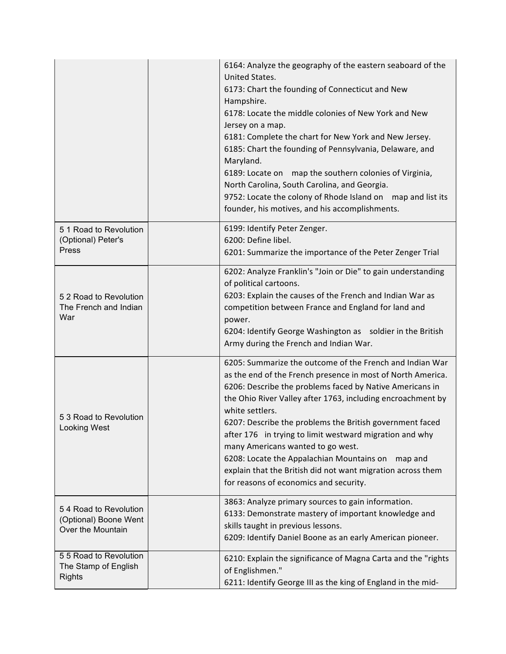|                                                                     | 6164: Analyze the geography of the eastern seaboard of the<br>United States.<br>6173: Chart the founding of Connecticut and New<br>Hampshire.<br>6178: Locate the middle colonies of New York and New<br>Jersey on a map.<br>6181: Complete the chart for New York and New Jersey.<br>6185: Chart the founding of Pennsylvania, Delaware, and<br>Maryland.<br>6189: Locate on map the southern colonies of Virginia,<br>North Carolina, South Carolina, and Georgia.<br>9752: Locate the colony of Rhode Island on map and list its<br>founder, his motives, and his accomplishments.              |
|---------------------------------------------------------------------|----------------------------------------------------------------------------------------------------------------------------------------------------------------------------------------------------------------------------------------------------------------------------------------------------------------------------------------------------------------------------------------------------------------------------------------------------------------------------------------------------------------------------------------------------------------------------------------------------|
| 51 Road to Revolution<br>(Optional) Peter's<br>Press                | 6199: Identify Peter Zenger.<br>6200: Define libel.<br>6201: Summarize the importance of the Peter Zenger Trial                                                                                                                                                                                                                                                                                                                                                                                                                                                                                    |
| 5 2 Road to Revolution<br>The French and Indian<br>War              | 6202: Analyze Franklin's "Join or Die" to gain understanding<br>of political cartoons.<br>6203: Explain the causes of the French and Indian War as<br>competition between France and England for land and<br>power.<br>6204: Identify George Washington as soldier in the British<br>Army during the French and Indian War.                                                                                                                                                                                                                                                                        |
| 5 3 Road to Revolution<br><b>Looking West</b>                       | 6205: Summarize the outcome of the French and Indian War<br>as the end of the French presence in most of North America.<br>6206: Describe the problems faced by Native Americans in<br>the Ohio River Valley after 1763, including encroachment by<br>white settlers.<br>6207: Describe the problems the British government faced<br>after 176 in trying to limit westward migration and why<br>many Americans wanted to go west.<br>6208: Locate the Appalachian Mountains on<br>map and<br>explain that the British did not want migration across them<br>for reasons of economics and security. |
| 54 Road to Revolution<br>(Optional) Boone Went<br>Over the Mountain | 3863: Analyze primary sources to gain information.<br>6133: Demonstrate mastery of important knowledge and<br>skills taught in previous lessons.<br>6209: Identify Daniel Boone as an early American pioneer.                                                                                                                                                                                                                                                                                                                                                                                      |
| 5 5 Road to Revolution<br>The Stamp of English<br><b>Rights</b>     | 6210: Explain the significance of Magna Carta and the "rights<br>of Englishmen."<br>6211: Identify George III as the king of England in the mid-                                                                                                                                                                                                                                                                                                                                                                                                                                                   |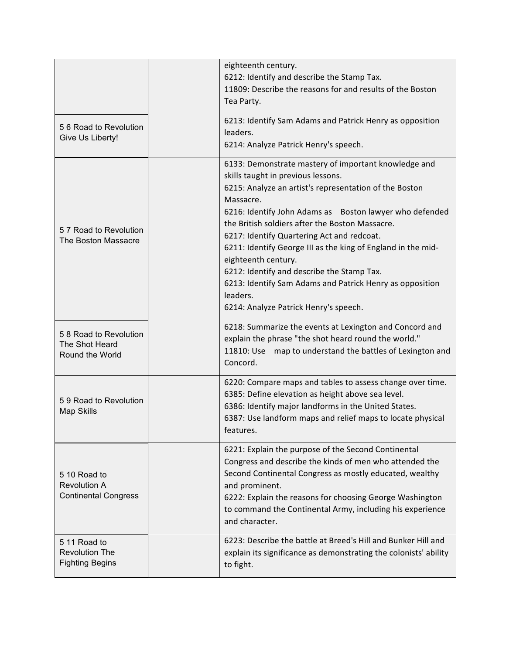|                                                                    | eighteenth century.<br>6212: Identify and describe the Stamp Tax.<br>11809: Describe the reasons for and results of the Boston<br>Tea Party.                                                                                                                                                                                                                                                                                                                                                                                                                                        |
|--------------------------------------------------------------------|-------------------------------------------------------------------------------------------------------------------------------------------------------------------------------------------------------------------------------------------------------------------------------------------------------------------------------------------------------------------------------------------------------------------------------------------------------------------------------------------------------------------------------------------------------------------------------------|
| 56 Road to Revolution<br>Give Us Liberty!                          | 6213: Identify Sam Adams and Patrick Henry as opposition<br>leaders.<br>6214: Analyze Patrick Henry's speech.                                                                                                                                                                                                                                                                                                                                                                                                                                                                       |
| 57 Road to Revolution<br>The Boston Massacre                       | 6133: Demonstrate mastery of important knowledge and<br>skills taught in previous lessons.<br>6215: Analyze an artist's representation of the Boston<br>Massacre.<br>6216: Identify John Adams as Boston lawyer who defended<br>the British soldiers after the Boston Massacre.<br>6217: Identify Quartering Act and redcoat.<br>6211: Identify George III as the king of England in the mid-<br>eighteenth century.<br>6212: Identify and describe the Stamp Tax.<br>6213: Identify Sam Adams and Patrick Henry as opposition<br>leaders.<br>6214: Analyze Patrick Henry's speech. |
| 58 Road to Revolution<br>The Shot Heard<br>Round the World         | 6218: Summarize the events at Lexington and Concord and<br>explain the phrase "the shot heard round the world."<br>11810: Use<br>map to understand the battles of Lexington and<br>Concord.                                                                                                                                                                                                                                                                                                                                                                                         |
| 59 Road to Revolution<br><b>Map Skills</b>                         | 6220: Compare maps and tables to assess change over time.<br>6385: Define elevation as height above sea level.<br>6386: Identify major landforms in the United States.<br>6387: Use landform maps and relief maps to locate physical<br>features.                                                                                                                                                                                                                                                                                                                                   |
| 5 10 Road to<br><b>Revolution A</b><br><b>Continental Congress</b> | 6221: Explain the purpose of the Second Continental<br>Congress and describe the kinds of men who attended the<br>Second Continental Congress as mostly educated, wealthy<br>and prominent.<br>6222: Explain the reasons for choosing George Washington<br>to command the Continental Army, including his experience<br>and character.                                                                                                                                                                                                                                              |
| 5 11 Road to<br><b>Revolution The</b><br><b>Fighting Begins</b>    | 6223: Describe the battle at Breed's Hill and Bunker Hill and<br>explain its significance as demonstrating the colonists' ability<br>to fight.                                                                                                                                                                                                                                                                                                                                                                                                                                      |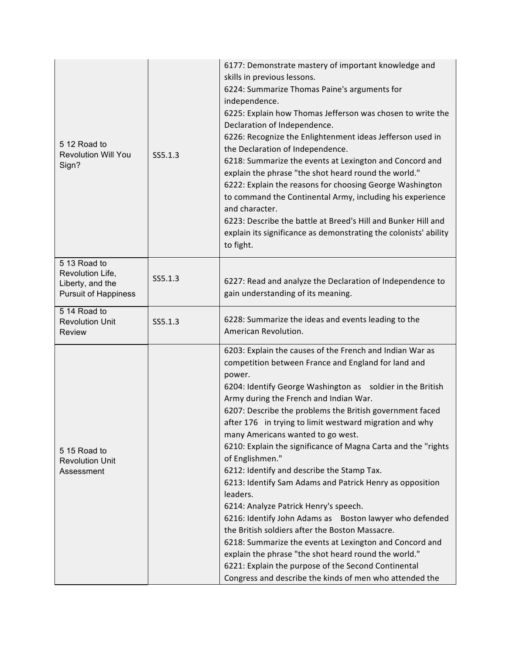| 512 Road to<br><b>Revolution Will You</b><br>Sign?                                  | SS5.1.3 | 6177: Demonstrate mastery of important knowledge and<br>skills in previous lessons.<br>6224: Summarize Thomas Paine's arguments for<br>independence.<br>6225: Explain how Thomas Jefferson was chosen to write the<br>Declaration of Independence.<br>6226: Recognize the Enlightenment ideas Jefferson used in<br>the Declaration of Independence.<br>6218: Summarize the events at Lexington and Concord and<br>explain the phrase "the shot heard round the world."<br>6222: Explain the reasons for choosing George Washington<br>to command the Continental Army, including his experience<br>and character.<br>6223: Describe the battle at Breed's Hill and Bunker Hill and<br>explain its significance as demonstrating the colonists' ability<br>to fight.                                                                                                                                                                                                                                 |
|-------------------------------------------------------------------------------------|---------|-----------------------------------------------------------------------------------------------------------------------------------------------------------------------------------------------------------------------------------------------------------------------------------------------------------------------------------------------------------------------------------------------------------------------------------------------------------------------------------------------------------------------------------------------------------------------------------------------------------------------------------------------------------------------------------------------------------------------------------------------------------------------------------------------------------------------------------------------------------------------------------------------------------------------------------------------------------------------------------------------------|
| 5 13 Road to<br>Revolution Life,<br>Liberty, and the<br><b>Pursuit of Happiness</b> | SS5.1.3 | 6227: Read and analyze the Declaration of Independence to<br>gain understanding of its meaning.                                                                                                                                                                                                                                                                                                                                                                                                                                                                                                                                                                                                                                                                                                                                                                                                                                                                                                     |
| 5 14 Road to<br><b>Revolution Unit</b><br>Review                                    | SS5.1.3 | 6228: Summarize the ideas and events leading to the<br>American Revolution.                                                                                                                                                                                                                                                                                                                                                                                                                                                                                                                                                                                                                                                                                                                                                                                                                                                                                                                         |
| 5 15 Road to<br><b>Revolution Unit</b><br>Assessment                                |         | 6203: Explain the causes of the French and Indian War as<br>competition between France and England for land and<br>power.<br>6204: Identify George Washington as soldier in the British<br>Army during the French and Indian War.<br>6207: Describe the problems the British government faced<br>after 176 in trying to limit westward migration and why<br>many Americans wanted to go west.<br>6210: Explain the significance of Magna Carta and the "rights<br>of Englishmen."<br>6212: Identify and describe the Stamp Tax.<br>6213: Identify Sam Adams and Patrick Henry as opposition<br>leaders.<br>6214: Analyze Patrick Henry's speech.<br>6216: Identify John Adams as Boston lawyer who defended<br>the British soldiers after the Boston Massacre.<br>6218: Summarize the events at Lexington and Concord and<br>explain the phrase "the shot heard round the world."<br>6221: Explain the purpose of the Second Continental<br>Congress and describe the kinds of men who attended the |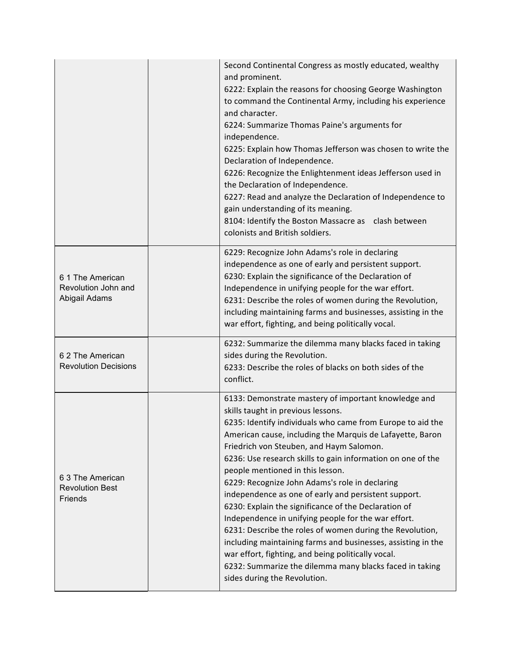|                                                          | Second Continental Congress as mostly educated, wealthy<br>and prominent.<br>6222: Explain the reasons for choosing George Washington<br>to command the Continental Army, including his experience<br>and character.<br>6224: Summarize Thomas Paine's arguments for<br>independence.<br>6225: Explain how Thomas Jefferson was chosen to write the<br>Declaration of Independence.<br>6226: Recognize the Enlightenment ideas Jefferson used in<br>the Declaration of Independence.<br>6227: Read and analyze the Declaration of Independence to<br>gain understanding of its meaning.<br>8104: Identify the Boston Massacre as clash between<br>colonists and British soldiers.                                                                                                                                                                                          |
|----------------------------------------------------------|----------------------------------------------------------------------------------------------------------------------------------------------------------------------------------------------------------------------------------------------------------------------------------------------------------------------------------------------------------------------------------------------------------------------------------------------------------------------------------------------------------------------------------------------------------------------------------------------------------------------------------------------------------------------------------------------------------------------------------------------------------------------------------------------------------------------------------------------------------------------------|
| 6 1 The American<br>Revolution John and<br>Abigail Adams | 6229: Recognize John Adams's role in declaring<br>independence as one of early and persistent support.<br>6230: Explain the significance of the Declaration of<br>Independence in unifying people for the war effort.<br>6231: Describe the roles of women during the Revolution,<br>including maintaining farms and businesses, assisting in the<br>war effort, fighting, and being politically vocal.                                                                                                                                                                                                                                                                                                                                                                                                                                                                    |
| 6 2 The American<br><b>Revolution Decisions</b>          | 6232: Summarize the dilemma many blacks faced in taking<br>sides during the Revolution.<br>6233: Describe the roles of blacks on both sides of the<br>conflict.                                                                                                                                                                                                                                                                                                                                                                                                                                                                                                                                                                                                                                                                                                            |
| 6 3 The American<br><b>Revolution Best</b><br>Friends    | 6133: Demonstrate mastery of important knowledge and<br>skills taught in previous lessons.<br>6235: Identify individuals who came from Europe to aid the<br>American cause, including the Marquis de Lafayette, Baron<br>Friedrich von Steuben, and Haym Salomon.<br>6236: Use research skills to gain information on one of the<br>people mentioned in this lesson.<br>6229: Recognize John Adams's role in declaring<br>independence as one of early and persistent support.<br>6230: Explain the significance of the Declaration of<br>Independence in unifying people for the war effort.<br>6231: Describe the roles of women during the Revolution,<br>including maintaining farms and businesses, assisting in the<br>war effort, fighting, and being politically vocal.<br>6232: Summarize the dilemma many blacks faced in taking<br>sides during the Revolution. |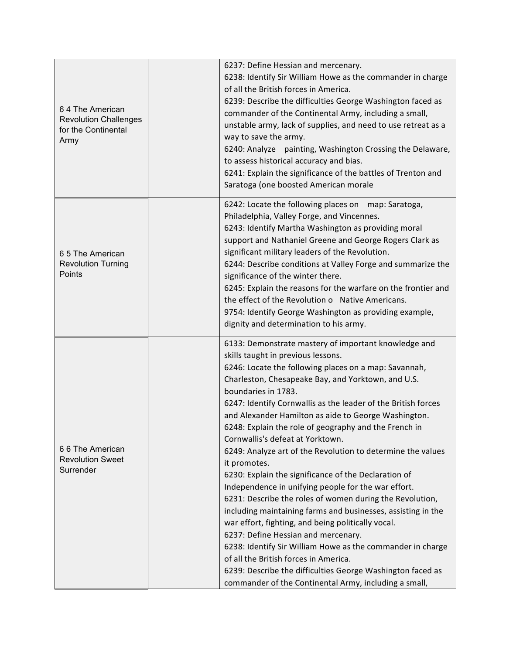| 64 The American<br><b>Revolution Challenges</b><br>for the Continental<br>Army | 6237: Define Hessian and mercenary.<br>6238: Identify Sir William Howe as the commander in charge<br>of all the British forces in America.<br>6239: Describe the difficulties George Washington faced as<br>commander of the Continental Army, including a small,<br>unstable army, lack of supplies, and need to use retreat as a<br>way to save the army.<br>6240: Analyze<br>painting, Washington Crossing the Delaware,<br>to assess historical accuracy and bias.<br>6241: Explain the significance of the battles of Trenton and<br>Saratoga (one boosted American morale                                                                                                                                                                                                                                                                                                                                                                                                                                                                                                                             |
|--------------------------------------------------------------------------------|-------------------------------------------------------------------------------------------------------------------------------------------------------------------------------------------------------------------------------------------------------------------------------------------------------------------------------------------------------------------------------------------------------------------------------------------------------------------------------------------------------------------------------------------------------------------------------------------------------------------------------------------------------------------------------------------------------------------------------------------------------------------------------------------------------------------------------------------------------------------------------------------------------------------------------------------------------------------------------------------------------------------------------------------------------------------------------------------------------------|
| 6 5 The American<br><b>Revolution Turning</b><br>Points                        | 6242: Locate the following places on map: Saratoga,<br>Philadelphia, Valley Forge, and Vincennes.<br>6243: Identify Martha Washington as providing moral<br>support and Nathaniel Greene and George Rogers Clark as<br>significant military leaders of the Revolution.<br>6244: Describe conditions at Valley Forge and summarize the<br>significance of the winter there.<br>6245: Explain the reasons for the warfare on the frontier and<br>the effect of the Revolution o Native Americans.<br>9754: Identify George Washington as providing example,<br>dignity and determination to his army.                                                                                                                                                                                                                                                                                                                                                                                                                                                                                                         |
| 66 The American<br><b>Revolution Sweet</b><br>Surrender                        | 6133: Demonstrate mastery of important knowledge and<br>skills taught in previous lessons.<br>6246: Locate the following places on a map: Savannah,<br>Charleston, Chesapeake Bay, and Yorktown, and U.S.<br>boundaries in 1783.<br>6247: Identify Cornwallis as the leader of the British forces<br>and Alexander Hamilton as aide to George Washington.<br>6248: Explain the role of geography and the French in<br>Cornwallis's defeat at Yorktown.<br>6249: Analyze art of the Revolution to determine the values<br>it promotes.<br>6230: Explain the significance of the Declaration of<br>Independence in unifying people for the war effort.<br>6231: Describe the roles of women during the Revolution,<br>including maintaining farms and businesses, assisting in the<br>war effort, fighting, and being politically vocal.<br>6237: Define Hessian and mercenary.<br>6238: Identify Sir William Howe as the commander in charge<br>of all the British forces in America.<br>6239: Describe the difficulties George Washington faced as<br>commander of the Continental Army, including a small, |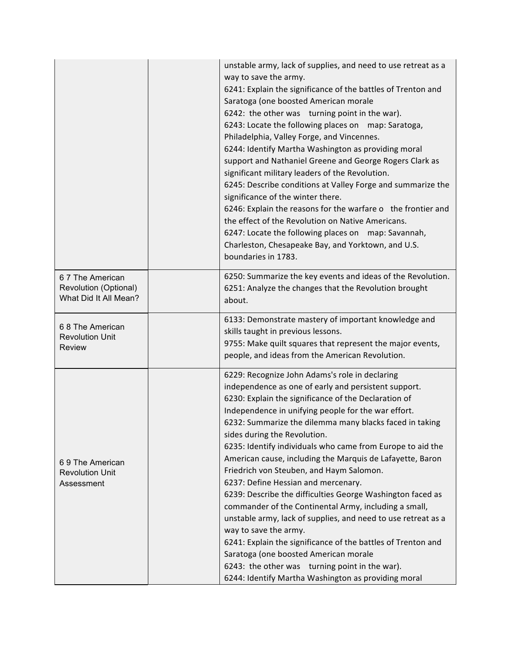|                                                                           | unstable army, lack of supplies, and need to use retreat as a<br>way to save the army.<br>6241: Explain the significance of the battles of Trenton and<br>Saratoga (one boosted American morale<br>6242: the other was turning point in the war).<br>6243: Locate the following places on map: Saratoga,<br>Philadelphia, Valley Forge, and Vincennes.<br>6244: Identify Martha Washington as providing moral<br>support and Nathaniel Greene and George Rogers Clark as<br>significant military leaders of the Revolution.<br>6245: Describe conditions at Valley Forge and summarize the<br>significance of the winter there.<br>6246: Explain the reasons for the warfare o the frontier and<br>the effect of the Revolution on Native Americans.<br>6247: Locate the following places on map: Savannah,<br>Charleston, Chesapeake Bay, and Yorktown, and U.S.<br>boundaries in 1783.                                                                          |
|---------------------------------------------------------------------------|-------------------------------------------------------------------------------------------------------------------------------------------------------------------------------------------------------------------------------------------------------------------------------------------------------------------------------------------------------------------------------------------------------------------------------------------------------------------------------------------------------------------------------------------------------------------------------------------------------------------------------------------------------------------------------------------------------------------------------------------------------------------------------------------------------------------------------------------------------------------------------------------------------------------------------------------------------------------|
| 6.7 The American<br><b>Revolution (Optional)</b><br>What Did It All Mean? | 6250: Summarize the key events and ideas of the Revolution.<br>6251: Analyze the changes that the Revolution brought<br>about.                                                                                                                                                                                                                                                                                                                                                                                                                                                                                                                                                                                                                                                                                                                                                                                                                                    |
| 68 The American<br><b>Revolution Unit</b><br><b>Review</b>                | 6133: Demonstrate mastery of important knowledge and<br>skills taught in previous lessons.<br>9755: Make quilt squares that represent the major events,<br>people, and ideas from the American Revolution.                                                                                                                                                                                                                                                                                                                                                                                                                                                                                                                                                                                                                                                                                                                                                        |
| 69 The American<br><b>Revolution Unit</b><br>Assessment                   | 6229: Recognize John Adams's role in declaring<br>independence as one of early and persistent support.<br>6230: Explain the significance of the Declaration of<br>Independence in unifying people for the war effort.<br>6232: Summarize the dilemma many blacks faced in taking<br>sides during the Revolution.<br>6235: Identify individuals who came from Europe to aid the<br>American cause, including the Marquis de Lafayette, Baron<br>Friedrich von Steuben, and Haym Salomon.<br>6237: Define Hessian and mercenary.<br>6239: Describe the difficulties George Washington faced as<br>commander of the Continental Army, including a small,<br>unstable army, lack of supplies, and need to use retreat as a<br>way to save the army.<br>6241: Explain the significance of the battles of Trenton and<br>Saratoga (one boosted American morale<br>6243: the other was turning point in the war).<br>6244: Identify Martha Washington as providing moral |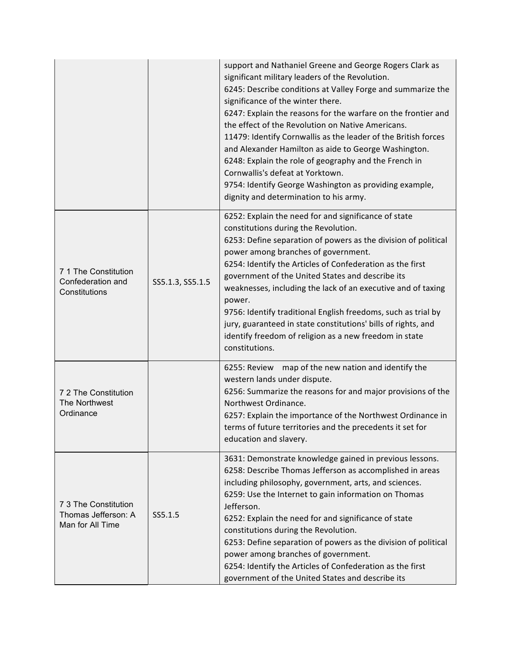|                                                                 |                  | support and Nathaniel Greene and George Rogers Clark as<br>significant military leaders of the Revolution.<br>6245: Describe conditions at Valley Forge and summarize the<br>significance of the winter there.<br>6247: Explain the reasons for the warfare on the frontier and<br>the effect of the Revolution on Native Americans.<br>11479: Identify Cornwallis as the leader of the British forces<br>and Alexander Hamilton as aide to George Washington.<br>6248: Explain the role of geography and the French in<br>Cornwallis's defeat at Yorktown.<br>9754: Identify George Washington as providing example,<br>dignity and determination to his army. |
|-----------------------------------------------------------------|------------------|-----------------------------------------------------------------------------------------------------------------------------------------------------------------------------------------------------------------------------------------------------------------------------------------------------------------------------------------------------------------------------------------------------------------------------------------------------------------------------------------------------------------------------------------------------------------------------------------------------------------------------------------------------------------|
| 7 1 The Constitution<br>Confederation and<br>Constitutions      | SS5.1.3, SS5.1.5 | 6252: Explain the need for and significance of state<br>constitutions during the Revolution.<br>6253: Define separation of powers as the division of political<br>power among branches of government.<br>6254: Identify the Articles of Confederation as the first<br>government of the United States and describe its<br>weaknesses, including the lack of an executive and of taxing<br>power.<br>9756: Identify traditional English freedoms, such as trial by<br>jury, guaranteed in state constitutions' bills of rights, and<br>identify freedom of religion as a new freedom in state<br>constitutions.                                                  |
| 7 2 The Constitution<br>The Northwest<br>Ordinance              |                  | 6255: Review map of the new nation and identify the<br>western lands under dispute.<br>6256: Summarize the reasons for and major provisions of the<br>Northwest Ordinance.<br>6257: Explain the importance of the Northwest Ordinance in<br>terms of future territories and the precedents it set for<br>education and slavery.                                                                                                                                                                                                                                                                                                                                 |
| 7 3 The Constitution<br>Thomas Jefferson: A<br>Man for All Time | SS5.1.5          | 3631: Demonstrate knowledge gained in previous lessons.<br>6258: Describe Thomas Jefferson as accomplished in areas<br>including philosophy, government, arts, and sciences.<br>6259: Use the Internet to gain information on Thomas<br>Jefferson.<br>6252: Explain the need for and significance of state<br>constitutions during the Revolution.<br>6253: Define separation of powers as the division of political<br>power among branches of government.<br>6254: Identify the Articles of Confederation as the first<br>government of the United States and describe its                                                                                    |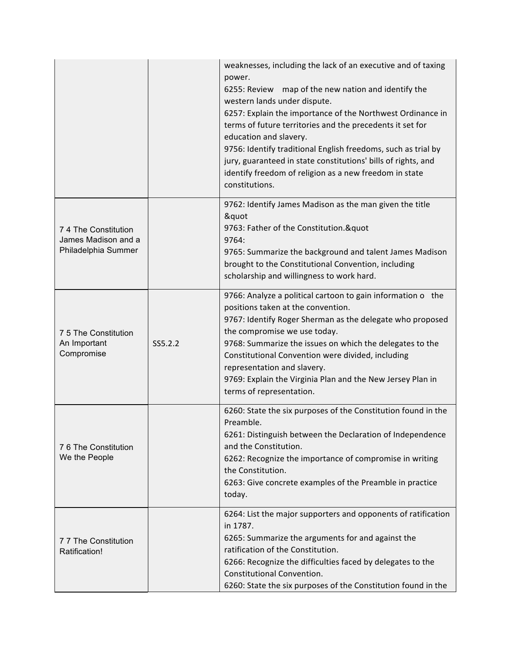|                                                                    |         | weaknesses, including the lack of an executive and of taxing<br>power.<br>6255: Review map of the new nation and identify the<br>western lands under dispute.<br>6257: Explain the importance of the Northwest Ordinance in<br>terms of future territories and the precedents it set for<br>education and slavery.<br>9756: Identify traditional English freedoms, such as trial by<br>jury, guaranteed in state constitutions' bills of rights, and<br>identify freedom of religion as a new freedom in state<br>constitutions. |
|--------------------------------------------------------------------|---------|----------------------------------------------------------------------------------------------------------------------------------------------------------------------------------------------------------------------------------------------------------------------------------------------------------------------------------------------------------------------------------------------------------------------------------------------------------------------------------------------------------------------------------|
| 7 4 The Constitution<br>James Madison and a<br>Philadelphia Summer |         | 9762: Identify James Madison as the man given the title<br>"<br>9763: Father of the Constitution."<br>9764:<br>9765: Summarize the background and talent James Madison<br>brought to the Constitutional Convention, including<br>scholarship and willingness to work hard.                                                                                                                                                                                                                                                       |
| 7 5 The Constitution<br>An Important<br>Compromise                 | SS5.2.2 | 9766: Analyze a political cartoon to gain information o the<br>positions taken at the convention.<br>9767: Identify Roger Sherman as the delegate who proposed<br>the compromise we use today.<br>9768: Summarize the issues on which the delegates to the<br>Constitutional Convention were divided, including<br>representation and slavery.<br>9769: Explain the Virginia Plan and the New Jersey Plan in<br>terms of representation.                                                                                         |
| 76 The Constitution<br>We the People                               |         | 6260: State the six purposes of the Constitution found in the<br>Preamble.<br>6261: Distinguish between the Declaration of Independence<br>and the Constitution.<br>6262: Recognize the importance of compromise in writing<br>the Constitution.<br>6263: Give concrete examples of the Preamble in practice<br>today.                                                                                                                                                                                                           |
| 7 7 The Constitution<br>Ratification!                              |         | 6264: List the major supporters and opponents of ratification<br>in 1787.<br>6265: Summarize the arguments for and against the<br>ratification of the Constitution.<br>6266: Recognize the difficulties faced by delegates to the<br>Constitutional Convention.<br>6260: State the six purposes of the Constitution found in the                                                                                                                                                                                                 |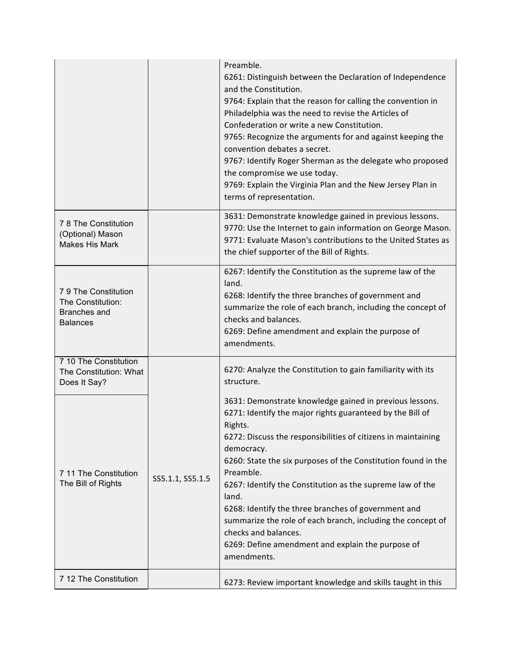|                                                                                    |                  | Preamble.<br>6261: Distinguish between the Declaration of Independence<br>and the Constitution.<br>9764: Explain that the reason for calling the convention in<br>Philadelphia was the need to revise the Articles of<br>Confederation or write a new Constitution.<br>9765: Recognize the arguments for and against keeping the<br>convention debates a secret.<br>9767: Identify Roger Sherman as the delegate who proposed<br>the compromise we use today.<br>9769: Explain the Virginia Plan and the New Jersey Plan in<br>terms of representation.                              |
|------------------------------------------------------------------------------------|------------------|--------------------------------------------------------------------------------------------------------------------------------------------------------------------------------------------------------------------------------------------------------------------------------------------------------------------------------------------------------------------------------------------------------------------------------------------------------------------------------------------------------------------------------------------------------------------------------------|
| 7 8 The Constitution<br>(Optional) Mason<br><b>Makes His Mark</b>                  |                  | 3631: Demonstrate knowledge gained in previous lessons.<br>9770: Use the Internet to gain information on George Mason.<br>9771: Evaluate Mason's contributions to the United States as<br>the chief supporter of the Bill of Rights.                                                                                                                                                                                                                                                                                                                                                 |
| 79 The Constitution<br>The Constitution:<br><b>Branches</b> and<br><b>Balances</b> |                  | 6267: Identify the Constitution as the supreme law of the<br>land.<br>6268: Identify the three branches of government and<br>summarize the role of each branch, including the concept of<br>checks and balances.<br>6269: Define amendment and explain the purpose of<br>amendments.                                                                                                                                                                                                                                                                                                 |
| 7 10 The Constitution<br>The Constitution: What<br>Does It Say?                    |                  | 6270: Analyze the Constitution to gain familiarity with its<br>structure.                                                                                                                                                                                                                                                                                                                                                                                                                                                                                                            |
| 7 11 The Constitution<br>The Bill of Rights                                        | SS5.1.1, SS5.1.5 | 3631: Demonstrate knowledge gained in previous lessons.<br>6271: Identify the major rights guaranteed by the Bill of<br>Rights.<br>6272: Discuss the responsibilities of citizens in maintaining<br>democracy.<br>6260: State the six purposes of the Constitution found in the<br>Preamble.<br>6267: Identify the Constitution as the supreme law of the<br>land.<br>6268: Identify the three branches of government and<br>summarize the role of each branch, including the concept of<br>checks and balances.<br>6269: Define amendment and explain the purpose of<br>amendments. |
| 7 12 The Constitution                                                              |                  | 6273: Review important knowledge and skills taught in this                                                                                                                                                                                                                                                                                                                                                                                                                                                                                                                           |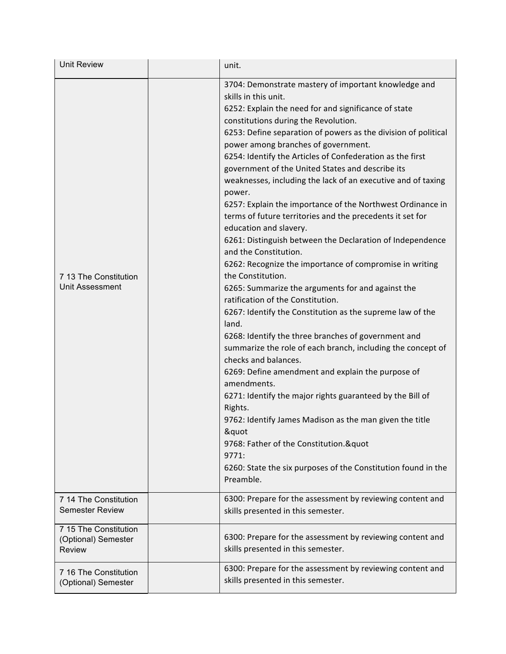| <b>Unit Review</b>                                            | unit.                                                                                                                                                                                                                                                                                                                                                                                                                                                                                                                                                                                                                                                                                                                                                                                                                                                                                                                                                                                                                                                                                                                                                                                                                                                                                                                                                                                                                                                              |
|---------------------------------------------------------------|--------------------------------------------------------------------------------------------------------------------------------------------------------------------------------------------------------------------------------------------------------------------------------------------------------------------------------------------------------------------------------------------------------------------------------------------------------------------------------------------------------------------------------------------------------------------------------------------------------------------------------------------------------------------------------------------------------------------------------------------------------------------------------------------------------------------------------------------------------------------------------------------------------------------------------------------------------------------------------------------------------------------------------------------------------------------------------------------------------------------------------------------------------------------------------------------------------------------------------------------------------------------------------------------------------------------------------------------------------------------------------------------------------------------------------------------------------------------|
| 7 13 The Constitution<br><b>Unit Assessment</b>               | 3704: Demonstrate mastery of important knowledge and<br>skills in this unit.<br>6252: Explain the need for and significance of state<br>constitutions during the Revolution.<br>6253: Define separation of powers as the division of political<br>power among branches of government.<br>6254: Identify the Articles of Confederation as the first<br>government of the United States and describe its<br>weaknesses, including the lack of an executive and of taxing<br>power.<br>6257: Explain the importance of the Northwest Ordinance in<br>terms of future territories and the precedents it set for<br>education and slavery.<br>6261: Distinguish between the Declaration of Independence<br>and the Constitution.<br>6262: Recognize the importance of compromise in writing<br>the Constitution.<br>6265: Summarize the arguments for and against the<br>ratification of the Constitution.<br>6267: Identify the Constitution as the supreme law of the<br>land.<br>6268: Identify the three branches of government and<br>summarize the role of each branch, including the concept of<br>checks and balances.<br>6269: Define amendment and explain the purpose of<br>amendments.<br>6271: Identify the major rights guaranteed by the Bill of<br>Rights.<br>9762: Identify James Madison as the man given the title<br>"<br>9768: Father of the Constitution."<br>9771:<br>6260: State the six purposes of the Constitution found in the<br>Preamble. |
| 7 14 The Constitution<br><b>Semester Review</b>               | 6300: Prepare for the assessment by reviewing content and<br>skills presented in this semester.                                                                                                                                                                                                                                                                                                                                                                                                                                                                                                                                                                                                                                                                                                                                                                                                                                                                                                                                                                                                                                                                                                                                                                                                                                                                                                                                                                    |
| 7 15 The Constitution<br>(Optional) Semester<br><b>Review</b> | 6300: Prepare for the assessment by reviewing content and<br>skills presented in this semester.                                                                                                                                                                                                                                                                                                                                                                                                                                                                                                                                                                                                                                                                                                                                                                                                                                                                                                                                                                                                                                                                                                                                                                                                                                                                                                                                                                    |
| 7 16 The Constitution<br>(Optional) Semester                  | 6300: Prepare for the assessment by reviewing content and<br>skills presented in this semester.                                                                                                                                                                                                                                                                                                                                                                                                                                                                                                                                                                                                                                                                                                                                                                                                                                                                                                                                                                                                                                                                                                                                                                                                                                                                                                                                                                    |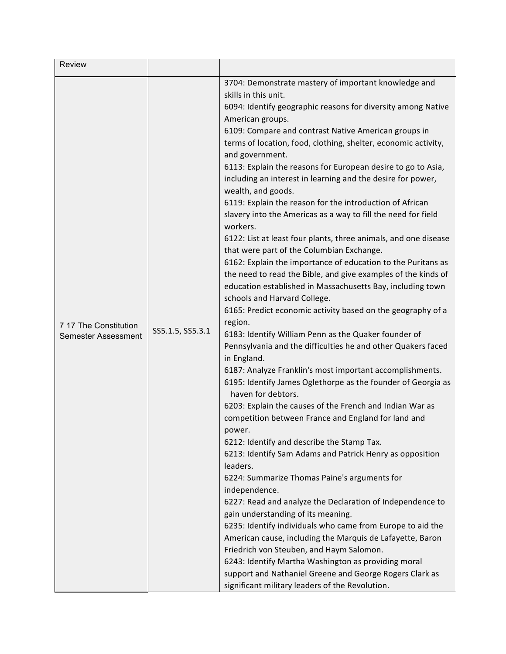| <b>Review</b>                                       |                  |                                                                                                                                                                                                                                                                                                                                                                                                                                                                                                                                                                                                                                                                                                                                                                                                                                                                                                                                                                                                                                                                                                                                                                                                                                                                                                                                                                                                                                                                                                                                                                                                                                                                                                                                                                                                                                                                                                                                                                                                                                                                                                  |
|-----------------------------------------------------|------------------|--------------------------------------------------------------------------------------------------------------------------------------------------------------------------------------------------------------------------------------------------------------------------------------------------------------------------------------------------------------------------------------------------------------------------------------------------------------------------------------------------------------------------------------------------------------------------------------------------------------------------------------------------------------------------------------------------------------------------------------------------------------------------------------------------------------------------------------------------------------------------------------------------------------------------------------------------------------------------------------------------------------------------------------------------------------------------------------------------------------------------------------------------------------------------------------------------------------------------------------------------------------------------------------------------------------------------------------------------------------------------------------------------------------------------------------------------------------------------------------------------------------------------------------------------------------------------------------------------------------------------------------------------------------------------------------------------------------------------------------------------------------------------------------------------------------------------------------------------------------------------------------------------------------------------------------------------------------------------------------------------------------------------------------------------------------------------------------------------|
| 7 17 The Constitution<br><b>Semester Assessment</b> | SS5.1.5, SS5.3.1 | 3704: Demonstrate mastery of important knowledge and<br>skills in this unit.<br>6094: Identify geographic reasons for diversity among Native<br>American groups.<br>6109: Compare and contrast Native American groups in<br>terms of location, food, clothing, shelter, economic activity,<br>and government.<br>6113: Explain the reasons for European desire to go to Asia,<br>including an interest in learning and the desire for power,<br>wealth, and goods.<br>6119: Explain the reason for the introduction of African<br>slavery into the Americas as a way to fill the need for field<br>workers.<br>6122: List at least four plants, three animals, and one disease<br>that were part of the Columbian Exchange.<br>6162: Explain the importance of education to the Puritans as<br>the need to read the Bible, and give examples of the kinds of<br>education established in Massachusetts Bay, including town<br>schools and Harvard College.<br>6165: Predict economic activity based on the geography of a<br>region.<br>6183: Identify William Penn as the Quaker founder of<br>Pennsylvania and the difficulties he and other Quakers faced<br>in England.<br>6187: Analyze Franklin's most important accomplishments.<br>6195: Identify James Oglethorpe as the founder of Georgia as<br>haven for debtors.<br>6203: Explain the causes of the French and Indian War as<br>competition between France and England for land and<br>power.<br>6212: Identify and describe the Stamp Tax.<br>6213: Identify Sam Adams and Patrick Henry as opposition<br>leaders.<br>6224: Summarize Thomas Paine's arguments for<br>independence.<br>6227: Read and analyze the Declaration of Independence to<br>gain understanding of its meaning.<br>6235: Identify individuals who came from Europe to aid the<br>American cause, including the Marquis de Lafayette, Baron<br>Friedrich von Steuben, and Haym Salomon.<br>6243: Identify Martha Washington as providing moral<br>support and Nathaniel Greene and George Rogers Clark as<br>significant military leaders of the Revolution. |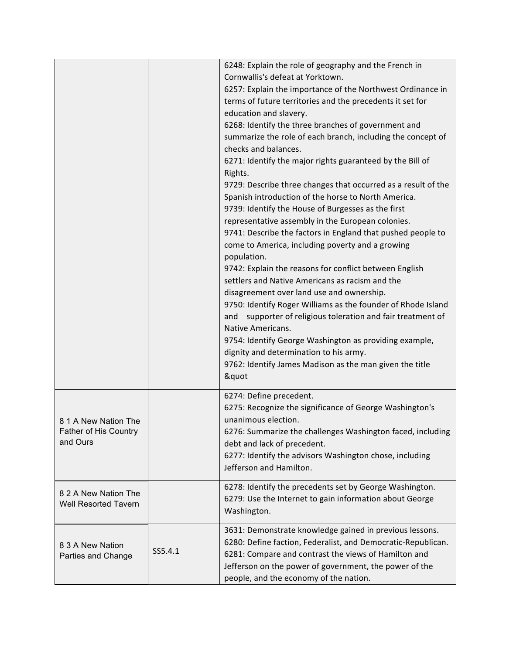|                                                                  |         | 6248: Explain the role of geography and the French in<br>Cornwallis's defeat at Yorktown.<br>6257: Explain the importance of the Northwest Ordinance in<br>terms of future territories and the precedents it set for<br>education and slavery.<br>6268: Identify the three branches of government and<br>summarize the role of each branch, including the concept of<br>checks and balances.<br>6271: Identify the major rights guaranteed by the Bill of<br>Rights.<br>9729: Describe three changes that occurred as a result of the<br>Spanish introduction of the horse to North America.<br>9739: Identify the House of Burgesses as the first<br>representative assembly in the European colonies.<br>9741: Describe the factors in England that pushed people to<br>come to America, including poverty and a growing<br>population.<br>9742: Explain the reasons for conflict between English<br>settlers and Native Americans as racism and the<br>disagreement over land use and ownership.<br>9750: Identify Roger Williams as the founder of Rhode Island<br>and supporter of religious toleration and fair treatment of<br>Native Americans.<br>9754: Identify George Washington as providing example,<br>dignity and determination to his army.<br>9762: Identify James Madison as the man given the title<br>" |
|------------------------------------------------------------------|---------|-----------------------------------------------------------------------------------------------------------------------------------------------------------------------------------------------------------------------------------------------------------------------------------------------------------------------------------------------------------------------------------------------------------------------------------------------------------------------------------------------------------------------------------------------------------------------------------------------------------------------------------------------------------------------------------------------------------------------------------------------------------------------------------------------------------------------------------------------------------------------------------------------------------------------------------------------------------------------------------------------------------------------------------------------------------------------------------------------------------------------------------------------------------------------------------------------------------------------------------------------------------------------------------------------------------------------------|
| 8 1 A New Nation The<br><b>Father of His Country</b><br>and Ours |         | 6274: Define precedent.<br>6275: Recognize the significance of George Washington's<br>unanimous election.<br>6276: Summarize the challenges Washington faced, including<br>debt and lack of precedent.<br>6277: Identify the advisors Washington chose, including<br>Jefferson and Hamilton.                                                                                                                                                                                                                                                                                                                                                                                                                                                                                                                                                                                                                                                                                                                                                                                                                                                                                                                                                                                                                                |
| 8 2 A New Nation The<br><b>Well Resorted Tavern</b>              |         | 6278: Identify the precedents set by George Washington.<br>6279: Use the Internet to gain information about George<br>Washington.                                                                                                                                                                                                                                                                                                                                                                                                                                                                                                                                                                                                                                                                                                                                                                                                                                                                                                                                                                                                                                                                                                                                                                                           |
| 8 3 A New Nation<br>Parties and Change                           | SS5.4.1 | 3631: Demonstrate knowledge gained in previous lessons.<br>6280: Define faction, Federalist, and Democratic-Republican.<br>6281: Compare and contrast the views of Hamilton and<br>Jefferson on the power of government, the power of the<br>people, and the economy of the nation.                                                                                                                                                                                                                                                                                                                                                                                                                                                                                                                                                                                                                                                                                                                                                                                                                                                                                                                                                                                                                                         |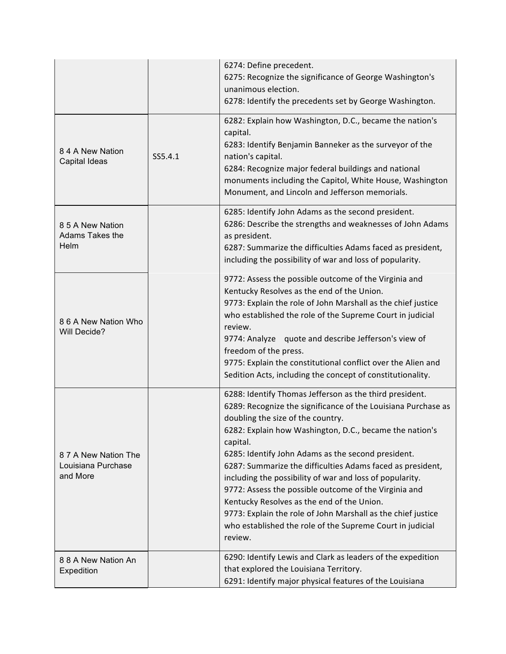|                                                       |         | 6274: Define precedent.                                                                                                                                                                                                               |
|-------------------------------------------------------|---------|---------------------------------------------------------------------------------------------------------------------------------------------------------------------------------------------------------------------------------------|
|                                                       |         | 6275: Recognize the significance of George Washington's                                                                                                                                                                               |
|                                                       |         | unanimous election.                                                                                                                                                                                                                   |
|                                                       |         | 6278: Identify the precedents set by George Washington.                                                                                                                                                                               |
|                                                       |         | 6282: Explain how Washington, D.C., became the nation's<br>capital.                                                                                                                                                                   |
| 8 4 A New Nation<br>Capital Ideas                     | SS5.4.1 | 6283: Identify Benjamin Banneker as the surveyor of the<br>nation's capital.                                                                                                                                                          |
|                                                       |         | 6284: Recognize major federal buildings and national<br>monuments including the Capitol, White House, Washington<br>Monument, and Lincoln and Jefferson memorials.                                                                    |
| 8 5 A New Nation<br>Adams Takes the<br>Helm           |         | 6285: Identify John Adams as the second president.<br>6286: Describe the strengths and weaknesses of John Adams<br>as president.<br>6287: Summarize the difficulties Adams faced as president,                                        |
|                                                       |         | including the possibility of war and loss of popularity.                                                                                                                                                                              |
|                                                       |         | 9772: Assess the possible outcome of the Virginia and<br>Kentucky Resolves as the end of the Union.                                                                                                                                   |
| 8 6 A New Nation Who<br><b>Will Decide?</b>           |         | 9773: Explain the role of John Marshall as the chief justice<br>who established the role of the Supreme Court in judicial<br>review.                                                                                                  |
|                                                       |         | 9774: Analyze quote and describe Jefferson's view of<br>freedom of the press.<br>9775: Explain the constitutional conflict over the Alien and                                                                                         |
|                                                       |         | Sedition Acts, including the concept of constitutionality.                                                                                                                                                                            |
|                                                       |         | 6288: Identify Thomas Jefferson as the third president.<br>6289: Recognize the significance of the Louisiana Purchase as<br>doubling the size of the country.<br>6282: Explain how Washington, D.C., became the nation's<br>capital.  |
| 87 A New Nation The<br>Louisiana Purchase<br>and More |         | 6285: Identify John Adams as the second president.<br>6287: Summarize the difficulties Adams faced as president,<br>including the possibility of war and loss of popularity.<br>9772: Assess the possible outcome of the Virginia and |
|                                                       |         | Kentucky Resolves as the end of the Union.                                                                                                                                                                                            |
|                                                       |         | 9773: Explain the role of John Marshall as the chief justice<br>who established the role of the Supreme Court in judicial<br>review.                                                                                                  |
| 8 8 A New Nation An                                   |         | 6290: Identify Lewis and Clark as leaders of the expedition                                                                                                                                                                           |
| Expedition                                            |         | that explored the Louisiana Territory.                                                                                                                                                                                                |
|                                                       |         | 6291: Identify major physical features of the Louisiana                                                                                                                                                                               |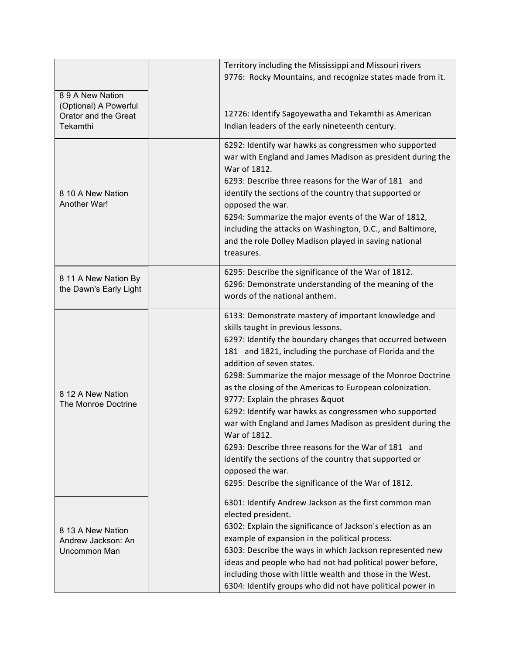|                                                                             | Territory including the Mississippi and Missouri rivers<br>9776: Rocky Mountains, and recognize states made from it.                                                                                                                                                                                                                                                                                                                                                                                                                                                                                                                                                                                                                      |
|-----------------------------------------------------------------------------|-------------------------------------------------------------------------------------------------------------------------------------------------------------------------------------------------------------------------------------------------------------------------------------------------------------------------------------------------------------------------------------------------------------------------------------------------------------------------------------------------------------------------------------------------------------------------------------------------------------------------------------------------------------------------------------------------------------------------------------------|
| 89A New Nation<br>(Optional) A Powerful<br>Orator and the Great<br>Tekamthi | 12726: Identify Sagoyewatha and Tekamthi as American<br>Indian leaders of the early nineteenth century.                                                                                                                                                                                                                                                                                                                                                                                                                                                                                                                                                                                                                                   |
| 8 10 A New Nation<br>Another War!                                           | 6292: Identify war hawks as congressmen who supported<br>war with England and James Madison as president during the<br>War of 1812.<br>6293: Describe three reasons for the War of 181 and<br>identify the sections of the country that supported or<br>opposed the war.<br>6294: Summarize the major events of the War of 1812,<br>including the attacks on Washington, D.C., and Baltimore,<br>and the role Dolley Madison played in saving national<br>treasures.                                                                                                                                                                                                                                                                      |
| 8 11 A New Nation By<br>the Dawn's Early Light                              | 6295: Describe the significance of the War of 1812.<br>6296: Demonstrate understanding of the meaning of the<br>words of the national anthem.                                                                                                                                                                                                                                                                                                                                                                                                                                                                                                                                                                                             |
| 8 12 A New Nation<br>The Monroe Doctrine                                    | 6133: Demonstrate mastery of important knowledge and<br>skills taught in previous lessons.<br>6297: Identify the boundary changes that occurred between<br>181 and 1821, including the purchase of Florida and the<br>addition of seven states.<br>6298: Summarize the major message of the Monroe Doctrine<br>as the closing of the Americas to European colonization.<br>9777: Explain the phrases "<br>6292: Identify war hawks as congressmen who supported<br>war with England and James Madison as president during the<br>War of 1812.<br>6293: Describe three reasons for the War of 181 and<br>identify the sections of the country that supported or<br>opposed the war.<br>6295: Describe the significance of the War of 1812. |
| 8 13 A New Nation<br>Andrew Jackson: An<br>Uncommon Man                     | 6301: Identify Andrew Jackson as the first common man<br>elected president.<br>6302: Explain the significance of Jackson's election as an<br>example of expansion in the political process.<br>6303: Describe the ways in which Jackson represented new<br>ideas and people who had not had political power before,<br>including those with little wealth and those in the West.<br>6304: Identify groups who did not have political power in                                                                                                                                                                                                                                                                                             |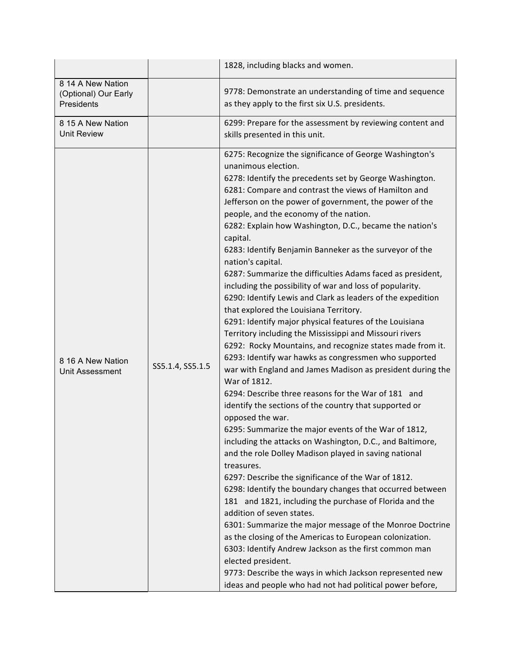|                                                         |                  | 1828, including blacks and women.                                                                                                                                                                                                                                                                                                                                                                                                                                                                                                                                                                                                                                                                                                                                                                                                                                                                                                                                                                                                                                                                                                                                                                                                                                                                                                                                                                                                                                                                                                                                                                                                                                                                                                                                                                                                                                                                     |
|---------------------------------------------------------|------------------|-------------------------------------------------------------------------------------------------------------------------------------------------------------------------------------------------------------------------------------------------------------------------------------------------------------------------------------------------------------------------------------------------------------------------------------------------------------------------------------------------------------------------------------------------------------------------------------------------------------------------------------------------------------------------------------------------------------------------------------------------------------------------------------------------------------------------------------------------------------------------------------------------------------------------------------------------------------------------------------------------------------------------------------------------------------------------------------------------------------------------------------------------------------------------------------------------------------------------------------------------------------------------------------------------------------------------------------------------------------------------------------------------------------------------------------------------------------------------------------------------------------------------------------------------------------------------------------------------------------------------------------------------------------------------------------------------------------------------------------------------------------------------------------------------------------------------------------------------------------------------------------------------------|
| 8 14 A New Nation<br>(Optional) Our Early<br>Presidents |                  | 9778: Demonstrate an understanding of time and sequence<br>as they apply to the first six U.S. presidents.                                                                                                                                                                                                                                                                                                                                                                                                                                                                                                                                                                                                                                                                                                                                                                                                                                                                                                                                                                                                                                                                                                                                                                                                                                                                                                                                                                                                                                                                                                                                                                                                                                                                                                                                                                                            |
| 8 15 A New Nation<br><b>Unit Review</b>                 |                  | 6299: Prepare for the assessment by reviewing content and<br>skills presented in this unit.                                                                                                                                                                                                                                                                                                                                                                                                                                                                                                                                                                                                                                                                                                                                                                                                                                                                                                                                                                                                                                                                                                                                                                                                                                                                                                                                                                                                                                                                                                                                                                                                                                                                                                                                                                                                           |
| 8 16 A New Nation<br><b>Unit Assessment</b>             | SS5.1.4, SS5.1.5 | 6275: Recognize the significance of George Washington's<br>unanimous election.<br>6278: Identify the precedents set by George Washington.<br>6281: Compare and contrast the views of Hamilton and<br>Jefferson on the power of government, the power of the<br>people, and the economy of the nation.<br>6282: Explain how Washington, D.C., became the nation's<br>capital.<br>6283: Identify Benjamin Banneker as the surveyor of the<br>nation's capital.<br>6287: Summarize the difficulties Adams faced as president,<br>including the possibility of war and loss of popularity.<br>6290: Identify Lewis and Clark as leaders of the expedition<br>that explored the Louisiana Territory.<br>6291: Identify major physical features of the Louisiana<br>Territory including the Mississippi and Missouri rivers<br>6292: Rocky Mountains, and recognize states made from it.<br>6293: Identify war hawks as congressmen who supported<br>war with England and James Madison as president during the<br>War of 1812.<br>6294: Describe three reasons for the War of 181 and<br>identify the sections of the country that supported or<br>opposed the war.<br>6295: Summarize the major events of the War of 1812,<br>including the attacks on Washington, D.C., and Baltimore,<br>and the role Dolley Madison played in saving national<br>treasures.<br>6297: Describe the significance of the War of 1812.<br>6298: Identify the boundary changes that occurred between<br>181 and 1821, including the purchase of Florida and the<br>addition of seven states.<br>6301: Summarize the major message of the Monroe Doctrine<br>as the closing of the Americas to European colonization.<br>6303: Identify Andrew Jackson as the first common man<br>elected president.<br>9773: Describe the ways in which Jackson represented new<br>ideas and people who had not had political power before, |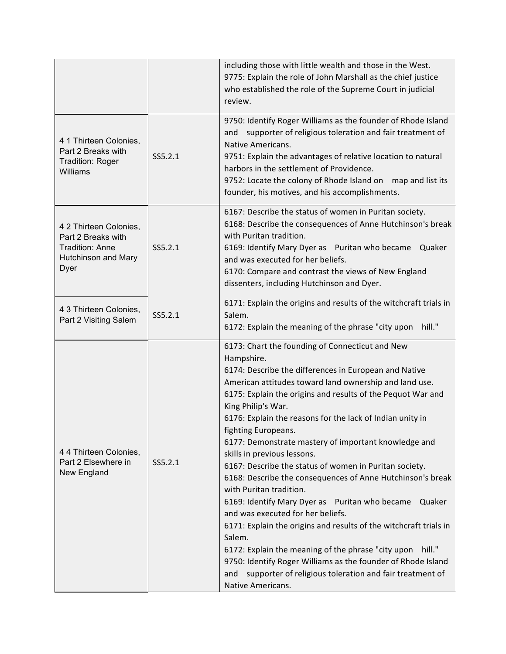|                                                                                                       |         | including those with little wealth and those in the West.<br>9775: Explain the role of John Marshall as the chief justice<br>who established the role of the Supreme Court in judicial<br>review.                                                                                                                                                                                                                                                                                                                                                                                                                                                                                                                                                                                                                                                                                                                                                                                                       |
|-------------------------------------------------------------------------------------------------------|---------|---------------------------------------------------------------------------------------------------------------------------------------------------------------------------------------------------------------------------------------------------------------------------------------------------------------------------------------------------------------------------------------------------------------------------------------------------------------------------------------------------------------------------------------------------------------------------------------------------------------------------------------------------------------------------------------------------------------------------------------------------------------------------------------------------------------------------------------------------------------------------------------------------------------------------------------------------------------------------------------------------------|
| 4 1 Thirteen Colonies,<br>Part 2 Breaks with<br><b>Tradition: Roger</b><br>Williams                   | SS5.2.1 | 9750: Identify Roger Williams as the founder of Rhode Island<br>and supporter of religious toleration and fair treatment of<br>Native Americans.<br>9751: Explain the advantages of relative location to natural<br>harbors in the settlement of Providence.<br>9752: Locate the colony of Rhode Island on map and list its<br>founder, his motives, and his accomplishments.                                                                                                                                                                                                                                                                                                                                                                                                                                                                                                                                                                                                                           |
| 4 2 Thirteen Colonies,<br>Part 2 Breaks with<br><b>Tradition: Anne</b><br>Hutchinson and Mary<br>Dyer | SS5.2.1 | 6167: Describe the status of women in Puritan society.<br>6168: Describe the consequences of Anne Hutchinson's break<br>with Puritan tradition.<br>6169: Identify Mary Dyer as Puritan who became<br>Quaker<br>and was executed for her beliefs.<br>6170: Compare and contrast the views of New England<br>dissenters, including Hutchinson and Dyer.                                                                                                                                                                                                                                                                                                                                                                                                                                                                                                                                                                                                                                                   |
| 4 3 Thirteen Colonies,<br>Part 2 Visiting Salem                                                       | SS5.2.1 | 6171: Explain the origins and results of the witchcraft trials in<br>Salem.<br>6172: Explain the meaning of the phrase "city upon<br>hill."                                                                                                                                                                                                                                                                                                                                                                                                                                                                                                                                                                                                                                                                                                                                                                                                                                                             |
| 4 4 Thirteen Colonies,<br>Part 2 Elsewhere in<br>New England                                          | SS5.2.1 | 6173: Chart the founding of Connecticut and New<br>Hampshire.<br>6174: Describe the differences in European and Native<br>American attitudes toward land ownership and land use.<br>6175: Explain the origins and results of the Pequot War and<br>King Philip's War.<br>6176: Explain the reasons for the lack of Indian unity in<br>fighting Europeans.<br>6177: Demonstrate mastery of important knowledge and<br>skills in previous lessons.<br>6167: Describe the status of women in Puritan society.<br>6168: Describe the consequences of Anne Hutchinson's break<br>with Puritan tradition.<br>6169: Identify Mary Dyer as Puritan who became<br>Quaker<br>and was executed for her beliefs.<br>6171: Explain the origins and results of the witchcraft trials in<br>Salem.<br>6172: Explain the meaning of the phrase "city upon<br>hill."<br>9750: Identify Roger Williams as the founder of Rhode Island<br>and supporter of religious toleration and fair treatment of<br>Native Americans. |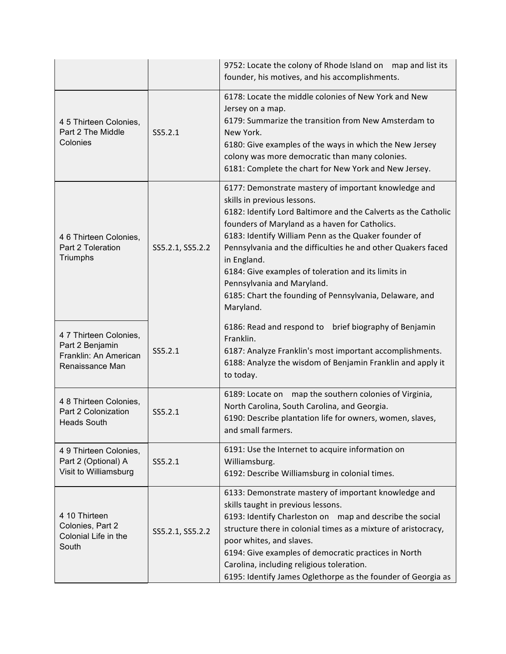|                                                                                       |                  | 9752: Locate the colony of Rhode Island on map and list its<br>founder, his motives, and his accomplishments.                                                                                                                                                                                                                                                                                                                                                                                               |
|---------------------------------------------------------------------------------------|------------------|-------------------------------------------------------------------------------------------------------------------------------------------------------------------------------------------------------------------------------------------------------------------------------------------------------------------------------------------------------------------------------------------------------------------------------------------------------------------------------------------------------------|
| 4 5 Thirteen Colonies,<br>Part 2 The Middle<br>Colonies                               | SS5.2.1          | 6178: Locate the middle colonies of New York and New<br>Jersey on a map.<br>6179: Summarize the transition from New Amsterdam to<br>New York.<br>6180: Give examples of the ways in which the New Jersey<br>colony was more democratic than many colonies.<br>6181: Complete the chart for New York and New Jersey.                                                                                                                                                                                         |
| 4 6 Thirteen Colonies,<br>Part 2 Toleration<br>Triumphs                               | SS5.2.1, SS5.2.2 | 6177: Demonstrate mastery of important knowledge and<br>skills in previous lessons.<br>6182: Identify Lord Baltimore and the Calverts as the Catholic<br>founders of Maryland as a haven for Catholics.<br>6183: Identify William Penn as the Quaker founder of<br>Pennsylvania and the difficulties he and other Quakers faced<br>in England.<br>6184: Give examples of toleration and its limits in<br>Pennsylvania and Maryland.<br>6185: Chart the founding of Pennsylvania, Delaware, and<br>Maryland. |
| 4 7 Thirteen Colonies,<br>Part 2 Benjamin<br>Franklin: An American<br>Renaissance Man | SS5.2.1          | brief biography of Benjamin<br>6186: Read and respond to<br>Franklin.<br>6187: Analyze Franklin's most important accomplishments.<br>6188: Analyze the wisdom of Benjamin Franklin and apply it<br>to today.                                                                                                                                                                                                                                                                                                |
| 4 8 Thirteen Colonies,<br>Part 2 Colonization<br><b>Heads South</b>                   | SS5.2.1          | 6189: Locate on map the southern colonies of Virginia,<br>North Carolina, South Carolina, and Georgia.<br>6190: Describe plantation life for owners, women, slaves,<br>and small farmers.                                                                                                                                                                                                                                                                                                                   |
| 4 9 Thirteen Colonies,<br>Part 2 (Optional) A<br>Visit to Williamsburg                | SS5.2.1          | 6191: Use the Internet to acquire information on<br>Williamsburg.<br>6192: Describe Williamsburg in colonial times.                                                                                                                                                                                                                                                                                                                                                                                         |
| 4 10 Thirteen<br>Colonies, Part 2<br>Colonial Life in the<br>South                    | SS5.2.1, SS5.2.2 | 6133: Demonstrate mastery of important knowledge and<br>skills taught in previous lessons.<br>6193: Identify Charleston on map and describe the social<br>structure there in colonial times as a mixture of aristocracy,<br>poor whites, and slaves.<br>6194: Give examples of democratic practices in North<br>Carolina, including religious toleration.<br>6195: Identify James Oglethorpe as the founder of Georgia as                                                                                   |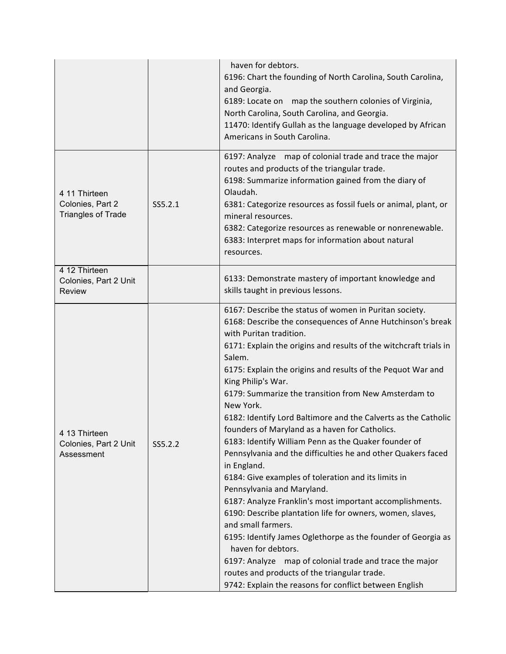|                                                                |         | haven for debtors.<br>6196: Chart the founding of North Carolina, South Carolina,<br>and Georgia.<br>6189: Locate on map the southern colonies of Virginia,<br>North Carolina, South Carolina, and Georgia.<br>11470: Identify Gullah as the language developed by African<br>Americans in South Carolina.                                                                                                                                                                                                                                                                                                                                                                                                                                                                                                                                                                                                                                                                                                                                                                                                                                            |
|----------------------------------------------------------------|---------|-------------------------------------------------------------------------------------------------------------------------------------------------------------------------------------------------------------------------------------------------------------------------------------------------------------------------------------------------------------------------------------------------------------------------------------------------------------------------------------------------------------------------------------------------------------------------------------------------------------------------------------------------------------------------------------------------------------------------------------------------------------------------------------------------------------------------------------------------------------------------------------------------------------------------------------------------------------------------------------------------------------------------------------------------------------------------------------------------------------------------------------------------------|
| 4 11 Thirteen<br>Colonies, Part 2<br><b>Triangles of Trade</b> | SS5.2.1 | 6197: Analyze map of colonial trade and trace the major<br>routes and products of the triangular trade.<br>6198: Summarize information gained from the diary of<br>Olaudah.<br>6381: Categorize resources as fossil fuels or animal, plant, or<br>mineral resources.<br>6382: Categorize resources as renewable or nonrenewable.<br>6383: Interpret maps for information about natural<br>resources.                                                                                                                                                                                                                                                                                                                                                                                                                                                                                                                                                                                                                                                                                                                                                  |
| 4 12 Thirteen<br>Colonies, Part 2 Unit<br><b>Review</b>        |         | 6133: Demonstrate mastery of important knowledge and<br>skills taught in previous lessons.                                                                                                                                                                                                                                                                                                                                                                                                                                                                                                                                                                                                                                                                                                                                                                                                                                                                                                                                                                                                                                                            |
| 4 13 Thirteen<br>Colonies, Part 2 Unit<br>Assessment           | SS5.2.2 | 6167: Describe the status of women in Puritan society.<br>6168: Describe the consequences of Anne Hutchinson's break<br>with Puritan tradition.<br>6171: Explain the origins and results of the witchcraft trials in<br>Salem.<br>6175: Explain the origins and results of the Pequot War and<br>King Philip's War.<br>6179: Summarize the transition from New Amsterdam to<br>New York.<br>6182: Identify Lord Baltimore and the Calverts as the Catholic<br>founders of Maryland as a haven for Catholics.<br>6183: Identify William Penn as the Quaker founder of<br>Pennsylvania and the difficulties he and other Quakers faced<br>in England.<br>6184: Give examples of toleration and its limits in<br>Pennsylvania and Maryland.<br>6187: Analyze Franklin's most important accomplishments.<br>6190: Describe plantation life for owners, women, slaves,<br>and small farmers.<br>6195: Identify James Oglethorpe as the founder of Georgia as<br>haven for debtors.<br>6197: Analyze<br>map of colonial trade and trace the major<br>routes and products of the triangular trade.<br>9742: Explain the reasons for conflict between English |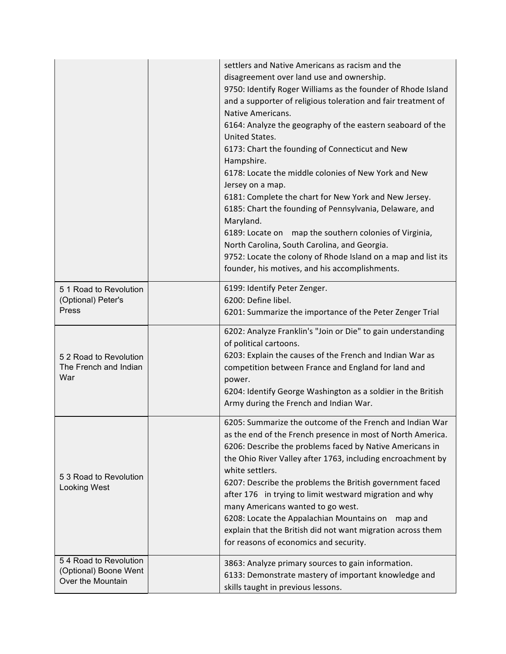|                                                                     | settlers and Native Americans as racism and the<br>disagreement over land use and ownership.<br>9750: Identify Roger Williams as the founder of Rhode Island<br>and a supporter of religious toleration and fair treatment of<br>Native Americans.<br>6164: Analyze the geography of the eastern seaboard of the<br>United States.<br>6173: Chart the founding of Connecticut and New<br>Hampshire.<br>6178: Locate the middle colonies of New York and New<br>Jersey on a map.<br>6181: Complete the chart for New York and New Jersey.<br>6185: Chart the founding of Pennsylvania, Delaware, and<br>Maryland.<br>6189: Locate on map the southern colonies of Virginia, |
|---------------------------------------------------------------------|----------------------------------------------------------------------------------------------------------------------------------------------------------------------------------------------------------------------------------------------------------------------------------------------------------------------------------------------------------------------------------------------------------------------------------------------------------------------------------------------------------------------------------------------------------------------------------------------------------------------------------------------------------------------------|
|                                                                     | North Carolina, South Carolina, and Georgia.<br>9752: Locate the colony of Rhode Island on a map and list its<br>founder, his motives, and his accomplishments.                                                                                                                                                                                                                                                                                                                                                                                                                                                                                                            |
| 51 Road to Revolution<br>(Optional) Peter's<br>Press                | 6199: Identify Peter Zenger.<br>6200: Define libel.<br>6201: Summarize the importance of the Peter Zenger Trial                                                                                                                                                                                                                                                                                                                                                                                                                                                                                                                                                            |
| 5 2 Road to Revolution<br>The French and Indian<br>War              | 6202: Analyze Franklin's "Join or Die" to gain understanding<br>of political cartoons.<br>6203: Explain the causes of the French and Indian War as<br>competition between France and England for land and<br>power.<br>6204: Identify George Washington as a soldier in the British<br>Army during the French and Indian War.                                                                                                                                                                                                                                                                                                                                              |
| 5 3 Road to Revolution<br>Looking West                              | 6205: Summarize the outcome of the French and Indian War<br>as the end of the French presence in most of North America.<br>6206: Describe the problems faced by Native Americans in<br>the Ohio River Valley after 1763, including encroachment by<br>white settlers.<br>6207: Describe the problems the British government faced<br>after 176 in trying to limit westward migration and why<br>many Americans wanted to go west.<br>6208: Locate the Appalachian Mountains on<br>map and<br>explain that the British did not want migration across them<br>for reasons of economics and security.                                                                         |
| 54 Road to Revolution<br>(Optional) Boone Went<br>Over the Mountain | 3863: Analyze primary sources to gain information.<br>6133: Demonstrate mastery of important knowledge and<br>skills taught in previous lessons.                                                                                                                                                                                                                                                                                                                                                                                                                                                                                                                           |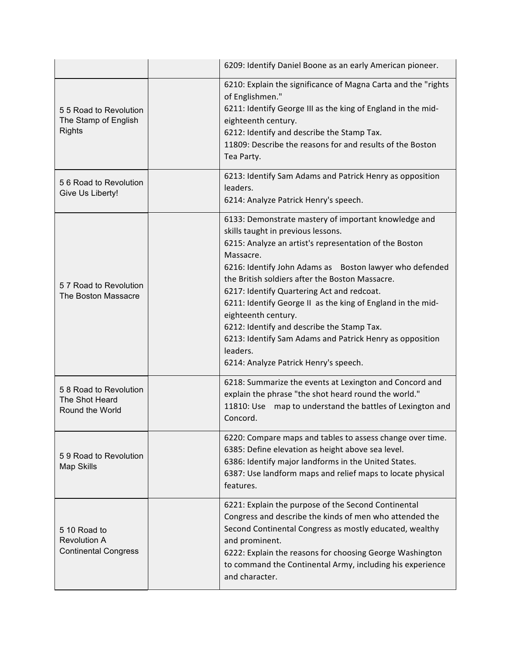|                                                                    | 6209: Identify Daniel Boone as an early American pioneer.                                                                                                                                                                                                                                                                                                                                                                                                                                                                                                                          |
|--------------------------------------------------------------------|------------------------------------------------------------------------------------------------------------------------------------------------------------------------------------------------------------------------------------------------------------------------------------------------------------------------------------------------------------------------------------------------------------------------------------------------------------------------------------------------------------------------------------------------------------------------------------|
| 5 5 Road to Revolution<br>The Stamp of English<br><b>Rights</b>    | 6210: Explain the significance of Magna Carta and the "rights<br>of Englishmen."<br>6211: Identify George III as the king of England in the mid-<br>eighteenth century.<br>6212: Identify and describe the Stamp Tax.<br>11809: Describe the reasons for and results of the Boston<br>Tea Party.                                                                                                                                                                                                                                                                                   |
| 56 Road to Revolution<br>Give Us Liberty!                          | 6213: Identify Sam Adams and Patrick Henry as opposition<br>leaders.<br>6214: Analyze Patrick Henry's speech.                                                                                                                                                                                                                                                                                                                                                                                                                                                                      |
| 57 Road to Revolution<br>The Boston Massacre                       | 6133: Demonstrate mastery of important knowledge and<br>skills taught in previous lessons.<br>6215: Analyze an artist's representation of the Boston<br>Massacre.<br>6216: Identify John Adams as Boston lawyer who defended<br>the British soldiers after the Boston Massacre.<br>6217: Identify Quartering Act and redcoat.<br>6211: Identify George II as the king of England in the mid-<br>eighteenth century.<br>6212: Identify and describe the Stamp Tax.<br>6213: Identify Sam Adams and Patrick Henry as opposition<br>leaders.<br>6214: Analyze Patrick Henry's speech. |
| 58 Road to Revolution<br>The Shot Heard<br>Round the World         | 6218: Summarize the events at Lexington and Concord and<br>explain the phrase "the shot heard round the world."<br>11810: Use<br>map to understand the battles of Lexington and<br>Concord.                                                                                                                                                                                                                                                                                                                                                                                        |
| 59 Road to Revolution<br>Map Skills                                | 6220: Compare maps and tables to assess change over time.<br>6385: Define elevation as height above sea level.<br>6386: Identify major landforms in the United States.<br>6387: Use landform maps and relief maps to locate physical<br>features.                                                                                                                                                                                                                                                                                                                                  |
| 5 10 Road to<br><b>Revolution A</b><br><b>Continental Congress</b> | 6221: Explain the purpose of the Second Continental<br>Congress and describe the kinds of men who attended the<br>Second Continental Congress as mostly educated, wealthy<br>and prominent.<br>6222: Explain the reasons for choosing George Washington<br>to command the Continental Army, including his experience<br>and character.                                                                                                                                                                                                                                             |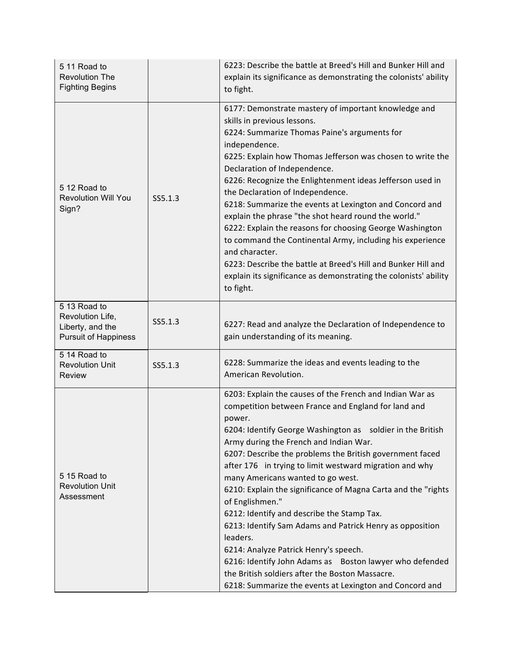| 5 11 Road to<br><b>Revolution The</b><br><b>Fighting Begins</b>                     |         | 6223: Describe the battle at Breed's Hill and Bunker Hill and<br>explain its significance as demonstrating the colonists' ability<br>to fight.                                                                                                                                                                                                                                                                                                                                                                                                                                                                                                                                                                                                                                                                            |
|-------------------------------------------------------------------------------------|---------|---------------------------------------------------------------------------------------------------------------------------------------------------------------------------------------------------------------------------------------------------------------------------------------------------------------------------------------------------------------------------------------------------------------------------------------------------------------------------------------------------------------------------------------------------------------------------------------------------------------------------------------------------------------------------------------------------------------------------------------------------------------------------------------------------------------------------|
| 512 Road to<br><b>Revolution Will You</b><br>Sign?                                  | SS5.1.3 | 6177: Demonstrate mastery of important knowledge and<br>skills in previous lessons.<br>6224: Summarize Thomas Paine's arguments for<br>independence.<br>6225: Explain how Thomas Jefferson was chosen to write the<br>Declaration of Independence.<br>6226: Recognize the Enlightenment ideas Jefferson used in<br>the Declaration of Independence.<br>6218: Summarize the events at Lexington and Concord and<br>explain the phrase "the shot heard round the world."<br>6222: Explain the reasons for choosing George Washington<br>to command the Continental Army, including his experience<br>and character.<br>6223: Describe the battle at Breed's Hill and Bunker Hill and<br>explain its significance as demonstrating the colonists' ability<br>to fight.                                                       |
| 5 13 Road to<br>Revolution Life,<br>Liberty, and the<br><b>Pursuit of Happiness</b> | SS5.1.3 | 6227: Read and analyze the Declaration of Independence to<br>gain understanding of its meaning.                                                                                                                                                                                                                                                                                                                                                                                                                                                                                                                                                                                                                                                                                                                           |
| 5 14 Road to<br><b>Revolution Unit</b><br><b>Review</b>                             | SS5.1.3 | 6228: Summarize the ideas and events leading to the<br>American Revolution.                                                                                                                                                                                                                                                                                                                                                                                                                                                                                                                                                                                                                                                                                                                                               |
| 515 Road to<br><b>Revolution Unit</b><br>Assessment                                 |         | 6203: Explain the causes of the French and Indian War as<br>competition between France and England for land and<br>power.<br>6204: Identify George Washington as soldier in the British<br>Army during the French and Indian War.<br>6207: Describe the problems the British government faced<br>after 176 in trying to limit westward migration and why<br>many Americans wanted to go west.<br>6210: Explain the significance of Magna Carta and the "rights<br>of Englishmen."<br>6212: Identify and describe the Stamp Tax.<br>6213: Identify Sam Adams and Patrick Henry as opposition<br>leaders.<br>6214: Analyze Patrick Henry's speech.<br>6216: Identify John Adams as Boston lawyer who defended<br>the British soldiers after the Boston Massacre.<br>6218: Summarize the events at Lexington and Concord and |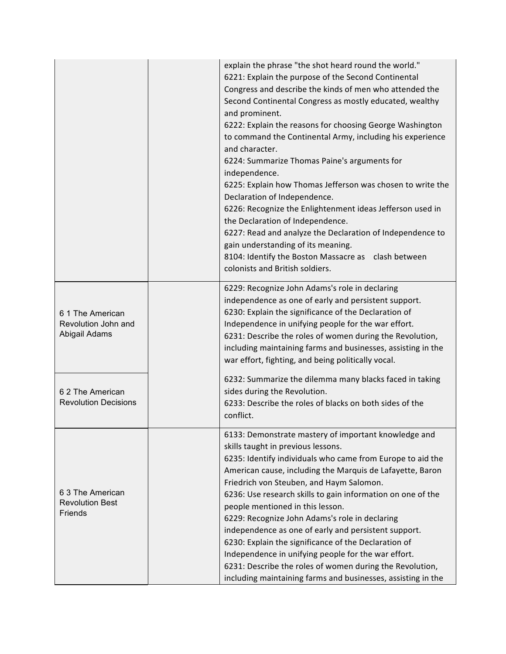|                                                          | explain the phrase "the shot heard round the world."<br>6221: Explain the purpose of the Second Continental<br>Congress and describe the kinds of men who attended the<br>Second Continental Congress as mostly educated, wealthy<br>and prominent.<br>6222: Explain the reasons for choosing George Washington<br>to command the Continental Army, including his experience<br>and character.<br>6224: Summarize Thomas Paine's arguments for<br>independence.<br>6225: Explain how Thomas Jefferson was chosen to write the<br>Declaration of Independence.<br>6226: Recognize the Enlightenment ideas Jefferson used in<br>the Declaration of Independence.<br>6227: Read and analyze the Declaration of Independence to<br>gain understanding of its meaning.<br>8104: Identify the Boston Massacre as clash between<br>colonists and British soldiers. |
|----------------------------------------------------------|-------------------------------------------------------------------------------------------------------------------------------------------------------------------------------------------------------------------------------------------------------------------------------------------------------------------------------------------------------------------------------------------------------------------------------------------------------------------------------------------------------------------------------------------------------------------------------------------------------------------------------------------------------------------------------------------------------------------------------------------------------------------------------------------------------------------------------------------------------------|
| 6 1 The American<br>Revolution John and<br>Abigail Adams | 6229: Recognize John Adams's role in declaring<br>independence as one of early and persistent support.<br>6230: Explain the significance of the Declaration of<br>Independence in unifying people for the war effort.<br>6231: Describe the roles of women during the Revolution,<br>including maintaining farms and businesses, assisting in the<br>war effort, fighting, and being politically vocal.                                                                                                                                                                                                                                                                                                                                                                                                                                                     |
| 6 2 The American<br><b>Revolution Decisions</b>          | 6232: Summarize the dilemma many blacks faced in taking<br>sides during the Revolution.<br>6233: Describe the roles of blacks on both sides of the<br>conflict.                                                                                                                                                                                                                                                                                                                                                                                                                                                                                                                                                                                                                                                                                             |
| 6 3 The American<br><b>Revolution Best</b><br>Friends    | 6133: Demonstrate mastery of important knowledge and<br>skills taught in previous lessons.<br>6235: Identify individuals who came from Europe to aid the<br>American cause, including the Marquis de Lafayette, Baron<br>Friedrich von Steuben, and Haym Salomon.<br>6236: Use research skills to gain information on one of the<br>people mentioned in this lesson.<br>6229: Recognize John Adams's role in declaring<br>independence as one of early and persistent support.<br>6230: Explain the significance of the Declaration of<br>Independence in unifying people for the war effort.<br>6231: Describe the roles of women during the Revolution,<br>including maintaining farms and businesses, assisting in the                                                                                                                                   |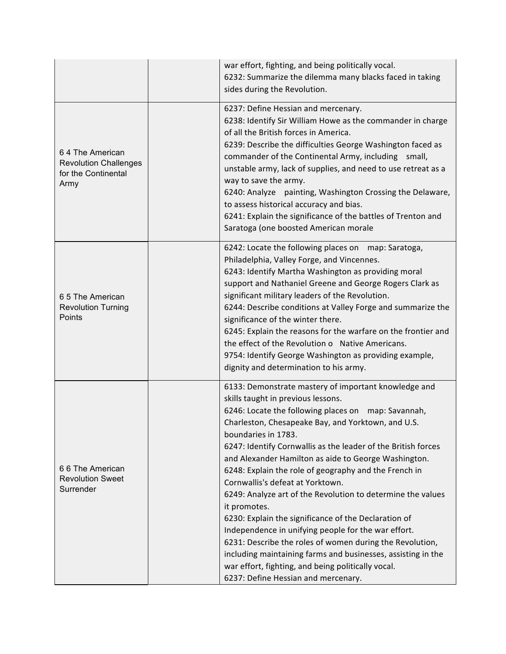|                                                                                | war effort, fighting, and being politically vocal.<br>6232: Summarize the dilemma many blacks faced in taking<br>sides during the Revolution.                                                                                                                                                                                                                                                                                                                                                                                                                                                                                                                                                                                                                                                                                                                               |
|--------------------------------------------------------------------------------|-----------------------------------------------------------------------------------------------------------------------------------------------------------------------------------------------------------------------------------------------------------------------------------------------------------------------------------------------------------------------------------------------------------------------------------------------------------------------------------------------------------------------------------------------------------------------------------------------------------------------------------------------------------------------------------------------------------------------------------------------------------------------------------------------------------------------------------------------------------------------------|
| 64 The American<br><b>Revolution Challenges</b><br>for the Continental<br>Army | 6237: Define Hessian and mercenary.<br>6238: Identify Sir William Howe as the commander in charge<br>of all the British forces in America.<br>6239: Describe the difficulties George Washington faced as<br>commander of the Continental Army, including small,<br>unstable army, lack of supplies, and need to use retreat as a<br>way to save the army.<br>6240: Analyze painting, Washington Crossing the Delaware,<br>to assess historical accuracy and bias.<br>6241: Explain the significance of the battles of Trenton and<br>Saratoga (one boosted American morale                                                                                                                                                                                                                                                                                                  |
| 6 5 The American<br><b>Revolution Turning</b><br>Points                        | 6242: Locate the following places on map: Saratoga,<br>Philadelphia, Valley Forge, and Vincennes.<br>6243: Identify Martha Washington as providing moral<br>support and Nathaniel Greene and George Rogers Clark as<br>significant military leaders of the Revolution.<br>6244: Describe conditions at Valley Forge and summarize the<br>significance of the winter there.<br>6245: Explain the reasons for the warfare on the frontier and<br>the effect of the Revolution o Native Americans.<br>9754: Identify George Washington as providing example,<br>dignity and determination to his army.                                                                                                                                                                                                                                                                         |
| 66 The American<br><b>Revolution Sweet</b><br>Surrender                        | 6133: Demonstrate mastery of important knowledge and<br>skills taught in previous lessons.<br>6246: Locate the following places on map: Savannah,<br>Charleston, Chesapeake Bay, and Yorktown, and U.S.<br>boundaries in 1783.<br>6247: Identify Cornwallis as the leader of the British forces<br>and Alexander Hamilton as aide to George Washington.<br>6248: Explain the role of geography and the French in<br>Cornwallis's defeat at Yorktown.<br>6249: Analyze art of the Revolution to determine the values<br>it promotes.<br>6230: Explain the significance of the Declaration of<br>Independence in unifying people for the war effort.<br>6231: Describe the roles of women during the Revolution,<br>including maintaining farms and businesses, assisting in the<br>war effort, fighting, and being politically vocal.<br>6237: Define Hessian and mercenary. |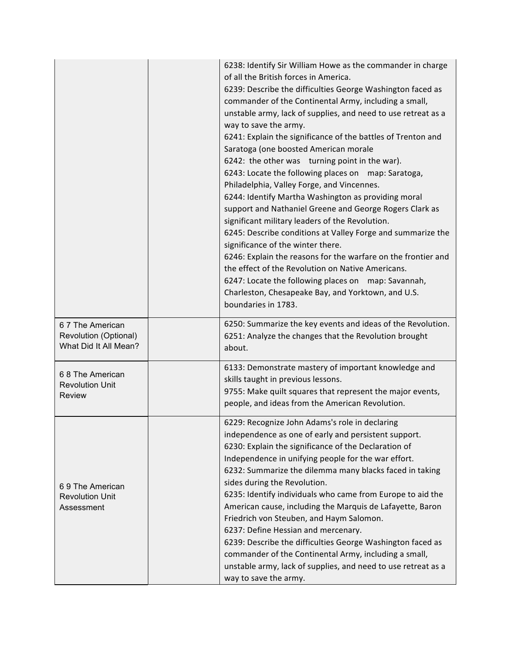|                                                                   | 6238: Identify Sir William Howe as the commander in charge<br>of all the British forces in America.<br>6239: Describe the difficulties George Washington faced as<br>commander of the Continental Army, including a small,<br>unstable army, lack of supplies, and need to use retreat as a<br>way to save the army.<br>6241: Explain the significance of the battles of Trenton and<br>Saratoga (one boosted American morale<br>6242: the other was turning point in the war).<br>6243: Locate the following places on map: Saratoga,<br>Philadelphia, Valley Forge, and Vincennes.<br>6244: Identify Martha Washington as providing moral<br>support and Nathaniel Greene and George Rogers Clark as<br>significant military leaders of the Revolution.<br>6245: Describe conditions at Valley Forge and summarize the<br>significance of the winter there.<br>6246: Explain the reasons for the warfare on the frontier and<br>the effect of the Revolution on Native Americans.<br>6247: Locate the following places on map: Savannah,<br>Charleston, Chesapeake Bay, and Yorktown, and U.S.<br>boundaries in 1783. |
|-------------------------------------------------------------------|-------------------------------------------------------------------------------------------------------------------------------------------------------------------------------------------------------------------------------------------------------------------------------------------------------------------------------------------------------------------------------------------------------------------------------------------------------------------------------------------------------------------------------------------------------------------------------------------------------------------------------------------------------------------------------------------------------------------------------------------------------------------------------------------------------------------------------------------------------------------------------------------------------------------------------------------------------------------------------------------------------------------------------------------------------------------------------------------------------------------------|
| 67 The American<br>Revolution (Optional)<br>What Did It All Mean? | 6250: Summarize the key events and ideas of the Revolution.<br>6251: Analyze the changes that the Revolution brought<br>about.                                                                                                                                                                                                                                                                                                                                                                                                                                                                                                                                                                                                                                                                                                                                                                                                                                                                                                                                                                                          |
| 68 The American<br><b>Revolution Unit</b><br><b>Review</b>        | 6133: Demonstrate mastery of important knowledge and<br>skills taught in previous lessons.<br>9755: Make quilt squares that represent the major events,<br>people, and ideas from the American Revolution.                                                                                                                                                                                                                                                                                                                                                                                                                                                                                                                                                                                                                                                                                                                                                                                                                                                                                                              |
| 69 The American<br><b>Revolution Unit</b><br>Assessment           | 6229: Recognize John Adams's role in declaring<br>independence as one of early and persistent support.<br>6230: Explain the significance of the Declaration of<br>Independence in unifying people for the war effort.<br>6232: Summarize the dilemma many blacks faced in taking<br>sides during the Revolution.<br>6235: Identify individuals who came from Europe to aid the<br>American cause, including the Marquis de Lafayette, Baron<br>Friedrich von Steuben, and Haym Salomon.<br>6237: Define Hessian and mercenary.<br>6239: Describe the difficulties George Washington faced as<br>commander of the Continental Army, including a small,<br>unstable army, lack of supplies, and need to use retreat as a<br>way to save the army.                                                                                                                                                                                                                                                                                                                                                                         |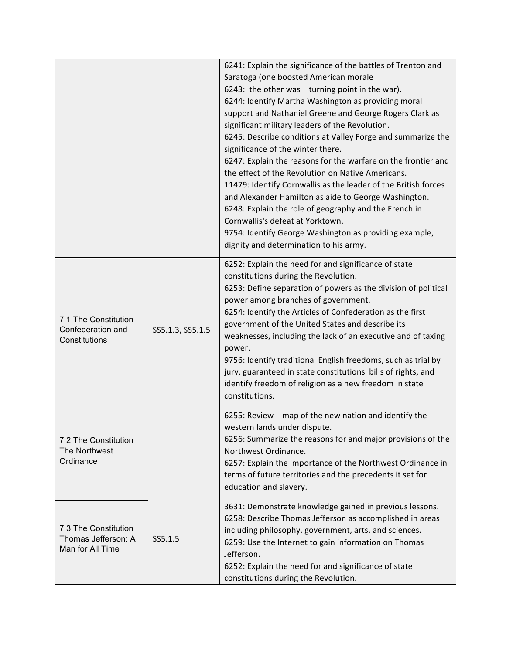|                                                                 |                  | 6241: Explain the significance of the battles of Trenton and<br>Saratoga (one boosted American morale<br>6243: the other was turning point in the war).<br>6244: Identify Martha Washington as providing moral<br>support and Nathaniel Greene and George Rogers Clark as<br>significant military leaders of the Revolution.<br>6245: Describe conditions at Valley Forge and summarize the<br>significance of the winter there.<br>6247: Explain the reasons for the warfare on the frontier and<br>the effect of the Revolution on Native Americans.<br>11479: Identify Cornwallis as the leader of the British forces<br>and Alexander Hamilton as aide to George Washington.<br>6248: Explain the role of geography and the French in<br>Cornwallis's defeat at Yorktown.<br>9754: Identify George Washington as providing example,<br>dignity and determination to his army. |
|-----------------------------------------------------------------|------------------|-----------------------------------------------------------------------------------------------------------------------------------------------------------------------------------------------------------------------------------------------------------------------------------------------------------------------------------------------------------------------------------------------------------------------------------------------------------------------------------------------------------------------------------------------------------------------------------------------------------------------------------------------------------------------------------------------------------------------------------------------------------------------------------------------------------------------------------------------------------------------------------|
| 7 1 The Constitution<br>Confederation and<br>Constitutions      | SS5.1.3, SS5.1.5 | 6252: Explain the need for and significance of state<br>constitutions during the Revolution.<br>6253: Define separation of powers as the division of political<br>power among branches of government.<br>6254: Identify the Articles of Confederation as the first<br>government of the United States and describe its<br>weaknesses, including the lack of an executive and of taxing<br>power.<br>9756: Identify traditional English freedoms, such as trial by<br>jury, guaranteed in state constitutions' bills of rights, and<br>identify freedom of religion as a new freedom in state<br>constitutions.                                                                                                                                                                                                                                                                    |
| 7 2 The Constitution<br>The Northwest<br>Ordinance              |                  | 6255: Review map of the new nation and identify the<br>western lands under dispute.<br>6256: Summarize the reasons for and major provisions of the<br>Northwest Ordinance.<br>6257: Explain the importance of the Northwest Ordinance in<br>terms of future territories and the precedents it set for<br>education and slavery.                                                                                                                                                                                                                                                                                                                                                                                                                                                                                                                                                   |
| 7 3 The Constitution<br>Thomas Jefferson: A<br>Man for All Time | SS5.1.5          | 3631: Demonstrate knowledge gained in previous lessons.<br>6258: Describe Thomas Jefferson as accomplished in areas<br>including philosophy, government, arts, and sciences.<br>6259: Use the Internet to gain information on Thomas<br>Jefferson.<br>6252: Explain the need for and significance of state<br>constitutions during the Revolution.                                                                                                                                                                                                                                                                                                                                                                                                                                                                                                                                |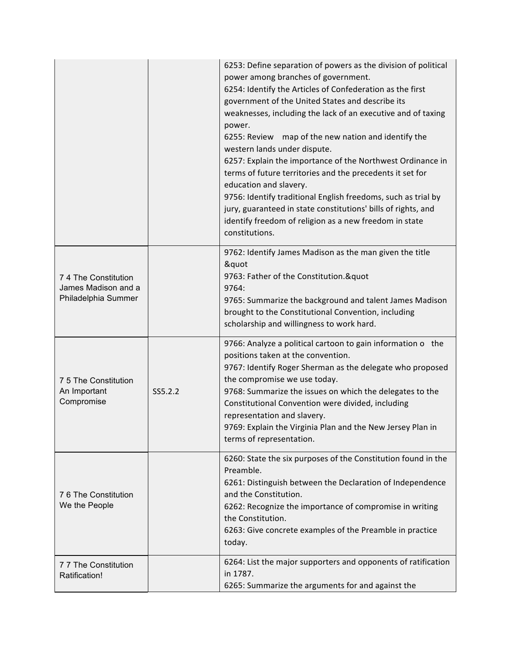|                                                                    |         | 6253: Define separation of powers as the division of political<br>power among branches of government.<br>6254: Identify the Articles of Confederation as the first<br>government of the United States and describe its<br>weaknesses, including the lack of an executive and of taxing<br>power.<br>6255: Review map of the new nation and identify the<br>western lands under dispute.<br>6257: Explain the importance of the Northwest Ordinance in<br>terms of future territories and the precedents it set for<br>education and slavery.<br>9756: Identify traditional English freedoms, such as trial by<br>jury, guaranteed in state constitutions' bills of rights, and<br>identify freedom of religion as a new freedom in state<br>constitutions. |
|--------------------------------------------------------------------|---------|------------------------------------------------------------------------------------------------------------------------------------------------------------------------------------------------------------------------------------------------------------------------------------------------------------------------------------------------------------------------------------------------------------------------------------------------------------------------------------------------------------------------------------------------------------------------------------------------------------------------------------------------------------------------------------------------------------------------------------------------------------|
| 7 4 The Constitution<br>James Madison and a<br>Philadelphia Summer |         | 9762: Identify James Madison as the man given the title<br>"<br>9763: Father of the Constitution."<br>9764:<br>9765: Summarize the background and talent James Madison<br>brought to the Constitutional Convention, including<br>scholarship and willingness to work hard.                                                                                                                                                                                                                                                                                                                                                                                                                                                                                 |
| 7 5 The Constitution<br>An Important<br>Compromise                 | SS5.2.2 | 9766: Analyze a political cartoon to gain information o the<br>positions taken at the convention.<br>9767: Identify Roger Sherman as the delegate who proposed<br>the compromise we use today.<br>9768: Summarize the issues on which the delegates to the<br>Constitutional Convention were divided, including<br>representation and slavery.<br>9769: Explain the Virginia Plan and the New Jersey Plan in<br>terms of representation.                                                                                                                                                                                                                                                                                                                   |
| 7 6 The Constitution<br>We the People                              |         | 6260: State the six purposes of the Constitution found in the<br>Preamble.<br>6261: Distinguish between the Declaration of Independence<br>and the Constitution.<br>6262: Recognize the importance of compromise in writing<br>the Constitution.<br>6263: Give concrete examples of the Preamble in practice<br>today.                                                                                                                                                                                                                                                                                                                                                                                                                                     |
| 7 7 The Constitution<br>Ratification!                              |         | 6264: List the major supporters and opponents of ratification<br>in 1787.<br>6265: Summarize the arguments for and against the                                                                                                                                                                                                                                                                                                                                                                                                                                                                                                                                                                                                                             |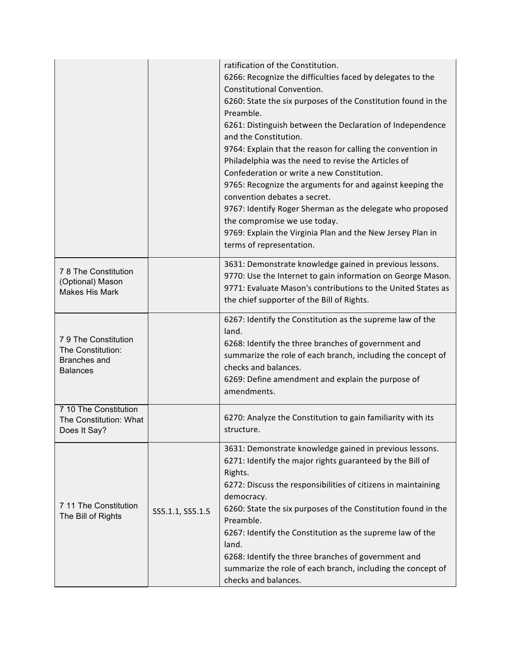|                                                                                    |                  | ratification of the Constitution.<br>6266: Recognize the difficulties faced by delegates to the<br>Constitutional Convention.<br>6260: State the six purposes of the Constitution found in the<br>Preamble.<br>6261: Distinguish between the Declaration of Independence<br>and the Constitution.<br>9764: Explain that the reason for calling the convention in<br>Philadelphia was the need to revise the Articles of<br>Confederation or write a new Constitution.<br>9765: Recognize the arguments for and against keeping the<br>convention debates a secret.<br>9767: Identify Roger Sherman as the delegate who proposed<br>the compromise we use today.<br>9769: Explain the Virginia Plan and the New Jersey Plan in<br>terms of representation. |
|------------------------------------------------------------------------------------|------------------|-----------------------------------------------------------------------------------------------------------------------------------------------------------------------------------------------------------------------------------------------------------------------------------------------------------------------------------------------------------------------------------------------------------------------------------------------------------------------------------------------------------------------------------------------------------------------------------------------------------------------------------------------------------------------------------------------------------------------------------------------------------|
| 78 The Constitution<br>(Optional) Mason<br><b>Makes His Mark</b>                   |                  | 3631: Demonstrate knowledge gained in previous lessons.<br>9770: Use the Internet to gain information on George Mason.<br>9771: Evaluate Mason's contributions to the United States as<br>the chief supporter of the Bill of Rights.                                                                                                                                                                                                                                                                                                                                                                                                                                                                                                                      |
| 79 The Constitution<br>The Constitution:<br><b>Branches</b> and<br><b>Balances</b> |                  | 6267: Identify the Constitution as the supreme law of the<br>land.<br>6268: Identify the three branches of government and<br>summarize the role of each branch, including the concept of<br>checks and balances.<br>6269: Define amendment and explain the purpose of<br>amendments.                                                                                                                                                                                                                                                                                                                                                                                                                                                                      |
| 7 10 The Constitution<br>The Constitution: What<br>Does It Say?                    |                  | 6270: Analyze the Constitution to gain familiarity with its<br>structure.                                                                                                                                                                                                                                                                                                                                                                                                                                                                                                                                                                                                                                                                                 |
| 7 11 The Constitution<br>The Bill of Rights                                        | SS5.1.1, SS5.1.5 | 3631: Demonstrate knowledge gained in previous lessons.<br>6271: Identify the major rights guaranteed by the Bill of<br>Rights.<br>6272: Discuss the responsibilities of citizens in maintaining<br>democracy.<br>6260: State the six purposes of the Constitution found in the<br>Preamble.<br>6267: Identify the Constitution as the supreme law of the<br>land.<br>6268: Identify the three branches of government and<br>summarize the role of each branch, including the concept of<br>checks and balances.                                                                                                                                                                                                                                          |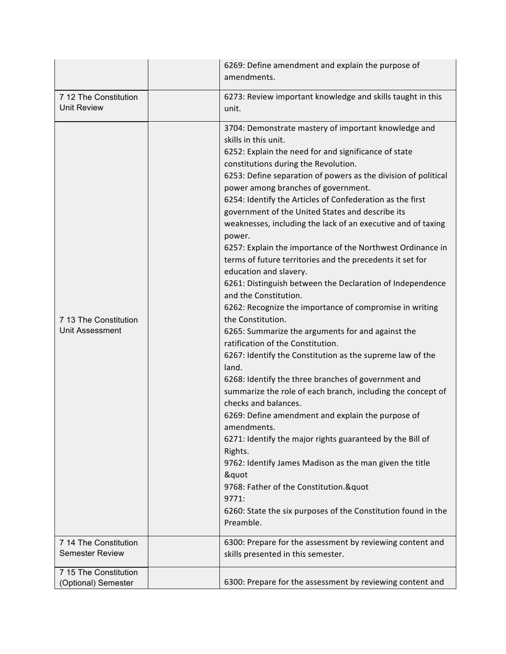|                                                 | 6269: Define amendment and explain the purpose of<br>amendments.                                                                                                                                                                                                                                                                                                                                                                                                                                                                                                                                                                                                                                                                                                                                                                                                                                                                                                                                                                                                                                                                                                                                                                                                                                                                                                                                                                                                         |
|-------------------------------------------------|--------------------------------------------------------------------------------------------------------------------------------------------------------------------------------------------------------------------------------------------------------------------------------------------------------------------------------------------------------------------------------------------------------------------------------------------------------------------------------------------------------------------------------------------------------------------------------------------------------------------------------------------------------------------------------------------------------------------------------------------------------------------------------------------------------------------------------------------------------------------------------------------------------------------------------------------------------------------------------------------------------------------------------------------------------------------------------------------------------------------------------------------------------------------------------------------------------------------------------------------------------------------------------------------------------------------------------------------------------------------------------------------------------------------------------------------------------------------------|
| 7 12 The Constitution<br><b>Unit Review</b>     | 6273: Review important knowledge and skills taught in this<br>unit.                                                                                                                                                                                                                                                                                                                                                                                                                                                                                                                                                                                                                                                                                                                                                                                                                                                                                                                                                                                                                                                                                                                                                                                                                                                                                                                                                                                                      |
| 7 13 The Constitution<br><b>Unit Assessment</b> | 3704: Demonstrate mastery of important knowledge and<br>skills in this unit.<br>6252: Explain the need for and significance of state<br>constitutions during the Revolution.<br>6253: Define separation of powers as the division of political<br>power among branches of government.<br>6254: Identify the Articles of Confederation as the first<br>government of the United States and describe its<br>weaknesses, including the lack of an executive and of taxing<br>power.<br>6257: Explain the importance of the Northwest Ordinance in<br>terms of future territories and the precedents it set for<br>education and slavery.<br>6261: Distinguish between the Declaration of Independence<br>and the Constitution.<br>6262: Recognize the importance of compromise in writing<br>the Constitution.<br>6265: Summarize the arguments for and against the<br>ratification of the Constitution.<br>6267: Identify the Constitution as the supreme law of the<br>land.<br>6268: Identify the three branches of government and<br>summarize the role of each branch, including the concept of<br>checks and balances.<br>6269: Define amendment and explain the purpose of<br>amendments.<br>6271: Identify the major rights guaranteed by the Bill of<br>Rights.<br>9762: Identify James Madison as the man given the title<br>"<br>9768: Father of the Constitution. & quot<br>9771:<br>6260: State the six purposes of the Constitution found in the<br>Preamble. |
| 7 14 The Constitution<br><b>Semester Review</b> | 6300: Prepare for the assessment by reviewing content and<br>skills presented in this semester.                                                                                                                                                                                                                                                                                                                                                                                                                                                                                                                                                                                                                                                                                                                                                                                                                                                                                                                                                                                                                                                                                                                                                                                                                                                                                                                                                                          |
| 7 15 The Constitution<br>(Optional) Semester    | 6300: Prepare for the assessment by reviewing content and                                                                                                                                                                                                                                                                                                                                                                                                                                                                                                                                                                                                                                                                                                                                                                                                                                                                                                                                                                                                                                                                                                                                                                                                                                                                                                                                                                                                                |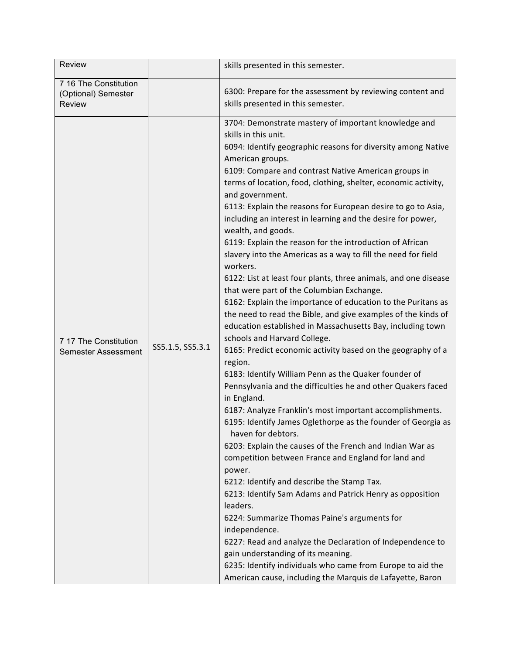| <b>Review</b>                                                 |                  | skills presented in this semester.                                                                                                                                                                                                                                                                                                                                                                                                                                                                                                                                                                                                                                                                                                                                                                                                                                                                                                                                                                                                                                                                                                                                                                                                                                                                                                                                                                                                                                                                                                                                                                                                                                                                                                                                                                                                                                              |
|---------------------------------------------------------------|------------------|---------------------------------------------------------------------------------------------------------------------------------------------------------------------------------------------------------------------------------------------------------------------------------------------------------------------------------------------------------------------------------------------------------------------------------------------------------------------------------------------------------------------------------------------------------------------------------------------------------------------------------------------------------------------------------------------------------------------------------------------------------------------------------------------------------------------------------------------------------------------------------------------------------------------------------------------------------------------------------------------------------------------------------------------------------------------------------------------------------------------------------------------------------------------------------------------------------------------------------------------------------------------------------------------------------------------------------------------------------------------------------------------------------------------------------------------------------------------------------------------------------------------------------------------------------------------------------------------------------------------------------------------------------------------------------------------------------------------------------------------------------------------------------------------------------------------------------------------------------------------------------|
| 7 16 The Constitution<br>(Optional) Semester<br><b>Review</b> |                  | 6300: Prepare for the assessment by reviewing content and<br>skills presented in this semester.                                                                                                                                                                                                                                                                                                                                                                                                                                                                                                                                                                                                                                                                                                                                                                                                                                                                                                                                                                                                                                                                                                                                                                                                                                                                                                                                                                                                                                                                                                                                                                                                                                                                                                                                                                                 |
| 7 17 The Constitution<br><b>Semester Assessment</b>           | SS5.1.5, SS5.3.1 | 3704: Demonstrate mastery of important knowledge and<br>skills in this unit.<br>6094: Identify geographic reasons for diversity among Native<br>American groups.<br>6109: Compare and contrast Native American groups in<br>terms of location, food, clothing, shelter, economic activity,<br>and government.<br>6113: Explain the reasons for European desire to go to Asia,<br>including an interest in learning and the desire for power,<br>wealth, and goods.<br>6119: Explain the reason for the introduction of African<br>slavery into the Americas as a way to fill the need for field<br>workers.<br>6122: List at least four plants, three animals, and one disease<br>that were part of the Columbian Exchange.<br>6162: Explain the importance of education to the Puritans as<br>the need to read the Bible, and give examples of the kinds of<br>education established in Massachusetts Bay, including town<br>schools and Harvard College.<br>6165: Predict economic activity based on the geography of a<br>region.<br>6183: Identify William Penn as the Quaker founder of<br>Pennsylvania and the difficulties he and other Quakers faced<br>in England.<br>6187: Analyze Franklin's most important accomplishments.<br>6195: Identify James Oglethorpe as the founder of Georgia as<br>haven for debtors.<br>6203: Explain the causes of the French and Indian War as<br>competition between France and England for land and<br>power.<br>6212: Identify and describe the Stamp Tax.<br>6213: Identify Sam Adams and Patrick Henry as opposition<br>leaders.<br>6224: Summarize Thomas Paine's arguments for<br>independence.<br>6227: Read and analyze the Declaration of Independence to<br>gain understanding of its meaning.<br>6235: Identify individuals who came from Europe to aid the<br>American cause, including the Marquis de Lafayette, Baron |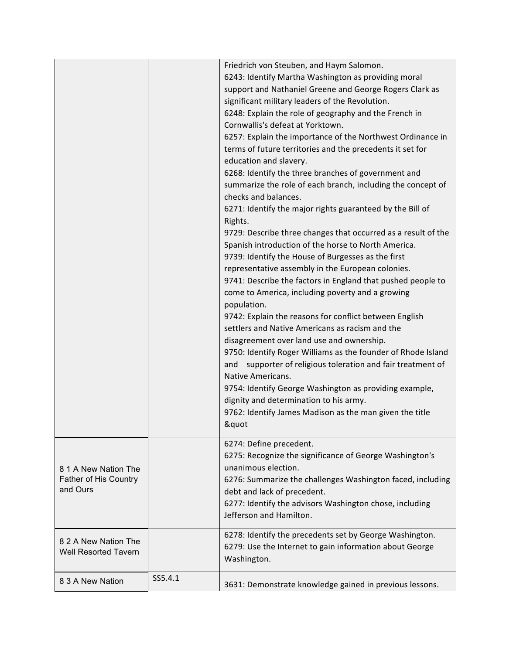|                                                           |         | Friedrich von Steuben, and Haym Salomon.<br>6243: Identify Martha Washington as providing moral<br>support and Nathaniel Greene and George Rogers Clark as<br>significant military leaders of the Revolution.<br>6248: Explain the role of geography and the French in<br>Cornwallis's defeat at Yorktown.<br>6257: Explain the importance of the Northwest Ordinance in<br>terms of future territories and the precedents it set for<br>education and slavery.<br>6268: Identify the three branches of government and<br>summarize the role of each branch, including the concept of<br>checks and balances.<br>6271: Identify the major rights guaranteed by the Bill of<br>Rights.<br>9729: Describe three changes that occurred as a result of the<br>Spanish introduction of the horse to North America.<br>9739: Identify the House of Burgesses as the first<br>representative assembly in the European colonies.<br>9741: Describe the factors in England that pushed people to<br>come to America, including poverty and a growing<br>population.<br>9742: Explain the reasons for conflict between English<br>settlers and Native Americans as racism and the<br>disagreement over land use and ownership.<br>9750: Identify Roger Williams as the founder of Rhode Island<br>and supporter of religious toleration and fair treatment of<br>Native Americans.<br>9754: Identify George Washington as providing example,<br>dignity and determination to his army.<br>9762: Identify James Madison as the man given the title<br>" |
|-----------------------------------------------------------|---------|----------------------------------------------------------------------------------------------------------------------------------------------------------------------------------------------------------------------------------------------------------------------------------------------------------------------------------------------------------------------------------------------------------------------------------------------------------------------------------------------------------------------------------------------------------------------------------------------------------------------------------------------------------------------------------------------------------------------------------------------------------------------------------------------------------------------------------------------------------------------------------------------------------------------------------------------------------------------------------------------------------------------------------------------------------------------------------------------------------------------------------------------------------------------------------------------------------------------------------------------------------------------------------------------------------------------------------------------------------------------------------------------------------------------------------------------------------------------------------------------------------------------------------------------|
| 8 1 A New Nation The<br>Father of His Country<br>and Ours |         | 6274: Define precedent.<br>6275: Recognize the significance of George Washington's<br>unanimous election.<br>6276: Summarize the challenges Washington faced, including<br>debt and lack of precedent.<br>6277: Identify the advisors Washington chose, including<br>Jefferson and Hamilton.                                                                                                                                                                                                                                                                                                                                                                                                                                                                                                                                                                                                                                                                                                                                                                                                                                                                                                                                                                                                                                                                                                                                                                                                                                                 |
| 8 2 A New Nation The<br><b>Well Resorted Tavern</b>       |         | 6278: Identify the precedents set by George Washington.<br>6279: Use the Internet to gain information about George<br>Washington.                                                                                                                                                                                                                                                                                                                                                                                                                                                                                                                                                                                                                                                                                                                                                                                                                                                                                                                                                                                                                                                                                                                                                                                                                                                                                                                                                                                                            |
| 8 3 A New Nation                                          | SS5.4.1 | 3631: Demonstrate knowledge gained in previous lessons.                                                                                                                                                                                                                                                                                                                                                                                                                                                                                                                                                                                                                                                                                                                                                                                                                                                                                                                                                                                                                                                                                                                                                                                                                                                                                                                                                                                                                                                                                      |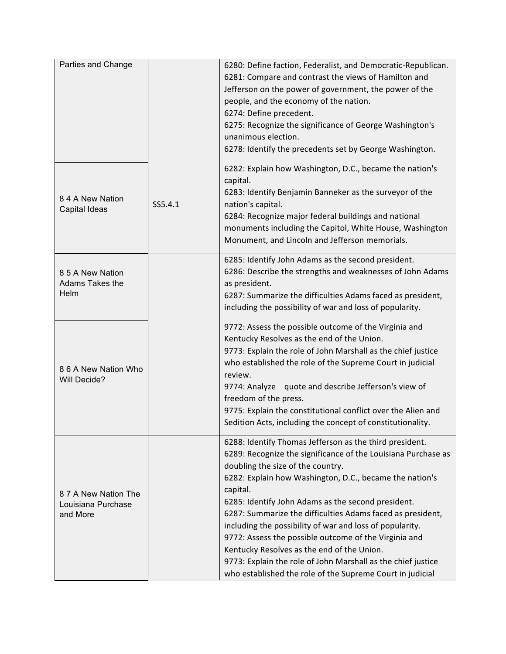| Parties and Change                                     |         | 6280: Define faction, Federalist, and Democratic-Republican.<br>6281: Compare and contrast the views of Hamilton and<br>Jefferson on the power of government, the power of the<br>people, and the economy of the nation.<br>6274: Define precedent.<br>6275: Recognize the significance of George Washington's<br>unanimous election.<br>6278: Identify the precedents set by George Washington.                                                                                                                                                                                                                                                         |
|--------------------------------------------------------|---------|----------------------------------------------------------------------------------------------------------------------------------------------------------------------------------------------------------------------------------------------------------------------------------------------------------------------------------------------------------------------------------------------------------------------------------------------------------------------------------------------------------------------------------------------------------------------------------------------------------------------------------------------------------|
| 84 A New Nation<br>Capital Ideas                       | SS5.4.1 | 6282: Explain how Washington, D.C., became the nation's<br>capital.<br>6283: Identify Benjamin Banneker as the surveyor of the<br>nation's capital.<br>6284: Recognize major federal buildings and national<br>monuments including the Capitol, White House, Washington<br>Monument, and Lincoln and Jefferson memorials.                                                                                                                                                                                                                                                                                                                                |
| 8 5 A New Nation<br>Adams Takes the<br>Helm            |         | 6285: Identify John Adams as the second president.<br>6286: Describe the strengths and weaknesses of John Adams<br>as president.<br>6287: Summarize the difficulties Adams faced as president,<br>including the possibility of war and loss of popularity.                                                                                                                                                                                                                                                                                                                                                                                               |
| 8 6 A New Nation Who<br>Will Decide?                   |         | 9772: Assess the possible outcome of the Virginia and<br>Kentucky Resolves as the end of the Union.<br>9773: Explain the role of John Marshall as the chief justice<br>who established the role of the Supreme Court in judicial<br>review.<br>9774: Analyze quote and describe Jefferson's view of<br>freedom of the press.<br>9775: Explain the constitutional conflict over the Alien and<br>Sedition Acts, including the concept of constitutionality.                                                                                                                                                                                               |
| 8.7 A New Nation The<br>Louisiana Purchase<br>and More |         | 6288: Identify Thomas Jefferson as the third president.<br>6289: Recognize the significance of the Louisiana Purchase as<br>doubling the size of the country.<br>6282: Explain how Washington, D.C., became the nation's<br>capital.<br>6285: Identify John Adams as the second president.<br>6287: Summarize the difficulties Adams faced as president,<br>including the possibility of war and loss of popularity.<br>9772: Assess the possible outcome of the Virginia and<br>Kentucky Resolves as the end of the Union.<br>9773: Explain the role of John Marshall as the chief justice<br>who established the role of the Supreme Court in judicial |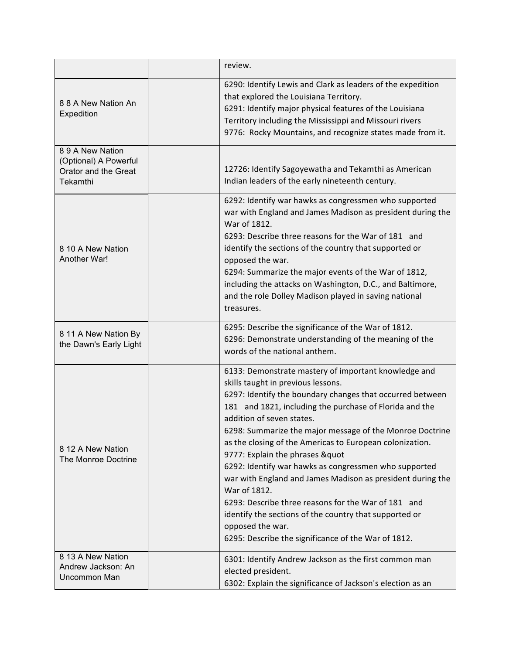|                                                                             | review.                                                                                                                                                                                                                                                                                                                                                                                                                                                                                                                                                                                                                                                                                                                                   |
|-----------------------------------------------------------------------------|-------------------------------------------------------------------------------------------------------------------------------------------------------------------------------------------------------------------------------------------------------------------------------------------------------------------------------------------------------------------------------------------------------------------------------------------------------------------------------------------------------------------------------------------------------------------------------------------------------------------------------------------------------------------------------------------------------------------------------------------|
| 88 A New Nation An<br>Expedition                                            | 6290: Identify Lewis and Clark as leaders of the expedition<br>that explored the Louisiana Territory.<br>6291: Identify major physical features of the Louisiana<br>Territory including the Mississippi and Missouri rivers<br>9776: Rocky Mountains, and recognize states made from it.                                                                                                                                                                                                                                                                                                                                                                                                                                                  |
| 89A New Nation<br>(Optional) A Powerful<br>Orator and the Great<br>Tekamthi | 12726: Identify Sagoyewatha and Tekamthi as American<br>Indian leaders of the early nineteenth century.                                                                                                                                                                                                                                                                                                                                                                                                                                                                                                                                                                                                                                   |
| 8 10 A New Nation<br>Another War!                                           | 6292: Identify war hawks as congressmen who supported<br>war with England and James Madison as president during the<br>War of 1812.<br>6293: Describe three reasons for the War of 181 and<br>identify the sections of the country that supported or<br>opposed the war.<br>6294: Summarize the major events of the War of 1812,<br>including the attacks on Washington, D.C., and Baltimore,<br>and the role Dolley Madison played in saving national<br>treasures.                                                                                                                                                                                                                                                                      |
| 8 11 A New Nation By<br>the Dawn's Early Light                              | 6295: Describe the significance of the War of 1812.<br>6296: Demonstrate understanding of the meaning of the<br>words of the national anthem.                                                                                                                                                                                                                                                                                                                                                                                                                                                                                                                                                                                             |
| 8 12 A New Nation<br>The Monroe Doctrine                                    | 6133: Demonstrate mastery of important knowledge and<br>skills taught in previous lessons.<br>6297: Identify the boundary changes that occurred between<br>181 and 1821, including the purchase of Florida and the<br>addition of seven states.<br>6298: Summarize the major message of the Monroe Doctrine<br>as the closing of the Americas to European colonization.<br>9777: Explain the phrases "<br>6292: Identify war hawks as congressmen who supported<br>war with England and James Madison as president during the<br>War of 1812.<br>6293: Describe three reasons for the War of 181 and<br>identify the sections of the country that supported or<br>opposed the war.<br>6295: Describe the significance of the War of 1812. |
| 8 13 A New Nation<br>Andrew Jackson: An<br>Uncommon Man                     | 6301: Identify Andrew Jackson as the first common man<br>elected president.<br>6302: Explain the significance of Jackson's election as an                                                                                                                                                                                                                                                                                                                                                                                                                                                                                                                                                                                                 |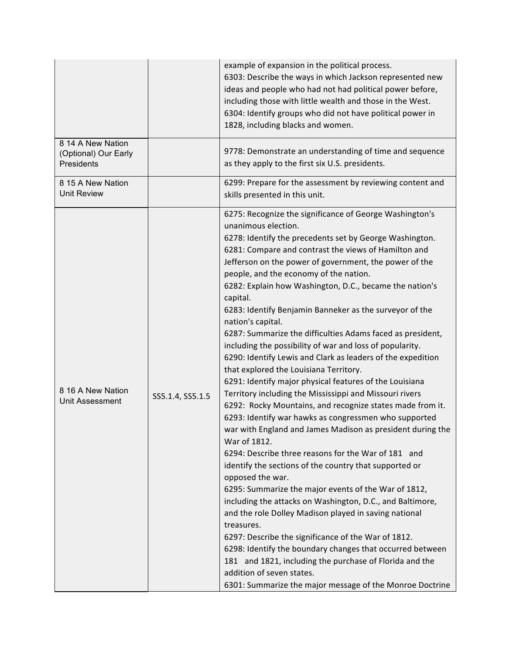|                                                         |                  | example of expansion in the political process.<br>6303: Describe the ways in which Jackson represented new<br>ideas and people who had not had political power before,<br>including those with little wealth and those in the West.<br>6304: Identify groups who did not have political power in<br>1828, including blacks and women.                                                                                                                                                                                                                                                                                                                                                                                                                                                                                                                                                                                                                                                                                                                                                                                                                                                                                                                                                                                                                                                                                                                                                                                                                                                                                              |
|---------------------------------------------------------|------------------|------------------------------------------------------------------------------------------------------------------------------------------------------------------------------------------------------------------------------------------------------------------------------------------------------------------------------------------------------------------------------------------------------------------------------------------------------------------------------------------------------------------------------------------------------------------------------------------------------------------------------------------------------------------------------------------------------------------------------------------------------------------------------------------------------------------------------------------------------------------------------------------------------------------------------------------------------------------------------------------------------------------------------------------------------------------------------------------------------------------------------------------------------------------------------------------------------------------------------------------------------------------------------------------------------------------------------------------------------------------------------------------------------------------------------------------------------------------------------------------------------------------------------------------------------------------------------------------------------------------------------------|
| 8 14 A New Nation<br>(Optional) Our Early<br>Presidents |                  | 9778: Demonstrate an understanding of time and sequence<br>as they apply to the first six U.S. presidents.                                                                                                                                                                                                                                                                                                                                                                                                                                                                                                                                                                                                                                                                                                                                                                                                                                                                                                                                                                                                                                                                                                                                                                                                                                                                                                                                                                                                                                                                                                                         |
| 8 15 A New Nation<br><b>Unit Review</b>                 |                  | 6299: Prepare for the assessment by reviewing content and<br>skills presented in this unit.                                                                                                                                                                                                                                                                                                                                                                                                                                                                                                                                                                                                                                                                                                                                                                                                                                                                                                                                                                                                                                                                                                                                                                                                                                                                                                                                                                                                                                                                                                                                        |
| 8 16 A New Nation<br>Unit Assessment                    | SS5.1.4, SS5.1.5 | 6275: Recognize the significance of George Washington's<br>unanimous election.<br>6278: Identify the precedents set by George Washington.<br>6281: Compare and contrast the views of Hamilton and<br>Jefferson on the power of government, the power of the<br>people, and the economy of the nation.<br>6282: Explain how Washington, D.C., became the nation's<br>capital.<br>6283: Identify Benjamin Banneker as the surveyor of the<br>nation's capital.<br>6287: Summarize the difficulties Adams faced as president,<br>including the possibility of war and loss of popularity.<br>6290: Identify Lewis and Clark as leaders of the expedition<br>that explored the Louisiana Territory.<br>6291: Identify major physical features of the Louisiana<br>Territory including the Mississippi and Missouri rivers<br>6292: Rocky Mountains, and recognize states made from it.<br>6293: Identify war hawks as congressmen who supported<br>war with England and James Madison as president during the<br>War of 1812.<br>6294: Describe three reasons for the War of 181 and<br>identify the sections of the country that supported or<br>opposed the war.<br>6295: Summarize the major events of the War of 1812,<br>including the attacks on Washington, D.C., and Baltimore,<br>and the role Dolley Madison played in saving national<br>treasures.<br>6297: Describe the significance of the War of 1812.<br>6298: Identify the boundary changes that occurred between<br>181 and 1821, including the purchase of Florida and the<br>addition of seven states.<br>6301: Summarize the major message of the Monroe Doctrine |